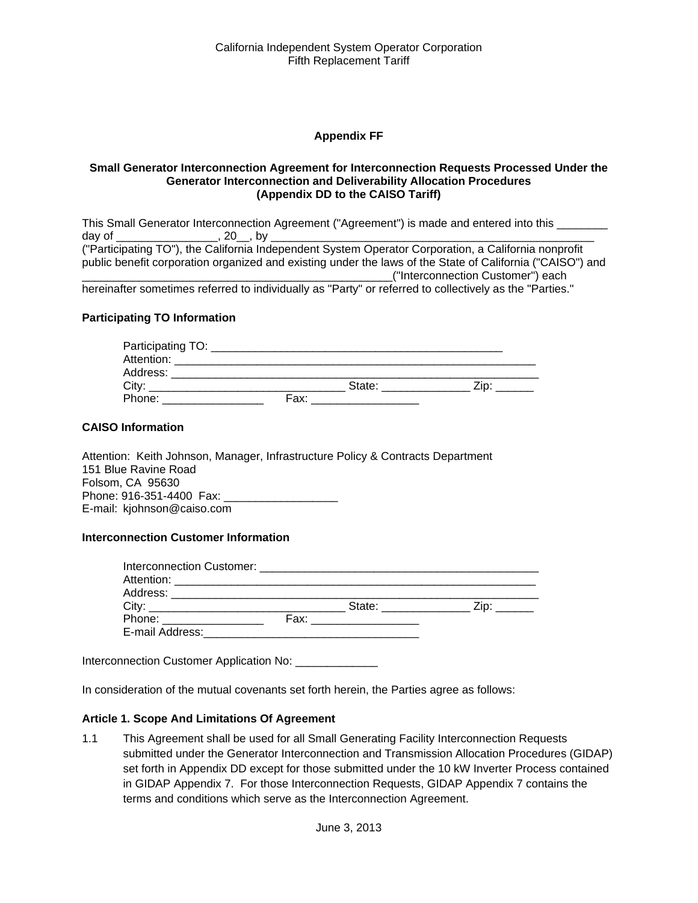#### **Appendix FF**

#### **Small Generator Interconnection Agreement for Interconnection Requests Processed Under the Generator Interconnection and Deliverability Allocation Procedures (Appendix DD to the CAISO Tariff)**

This Small Generator Interconnection Agreement ("Agreement") is made and entered into this \_\_\_\_\_\_\_\_ day of \_\_\_\_\_\_\_\_\_\_\_\_\_\_\_\_, 20\_\_, by \_\_\_\_\_\_\_\_\_\_\_\_\_\_\_\_\_\_\_\_\_\_\_\_\_\_\_\_\_\_\_\_\_\_\_\_\_\_\_\_\_\_\_\_\_\_\_\_\_\_\_ ("Participating TO"), the California Independent System Operator Corporation, a California nonprofit public benefit corporation organized and existing under the laws of the State of California ("CAISO") and \_\_\_\_\_\_\_\_\_\_\_\_\_\_\_\_\_\_\_\_\_\_\_\_\_\_\_\_\_\_\_\_\_\_\_\_\_\_\_\_\_\_\_\_\_\_\_\_\_("Interconnection Customer") each hereinafter sometimes referred to individually as "Party" or referred to collectively as the "Parties."

#### **Participating TO Information**

| Participating TO: |      |        |      |  |
|-------------------|------|--------|------|--|
| Attention:        |      |        |      |  |
| Address:          |      |        |      |  |
| City:             |      | State: | Zin: |  |
| Phone:            | Fax: |        |      |  |

#### **CAISO Information**

Attention: Keith Johnson, Manager, Infrastructure Policy & Contracts Department 151 Blue Ravine Road Folsom, CA 95630 Phone: 916-351-4400 Fax: \_\_\_ E-mail: kjohnson@caiso.com

#### **Interconnection Customer Information**

| Interconnection Customer: |      |        |      |
|---------------------------|------|--------|------|
|                           |      |        |      |
| Address:                  |      |        |      |
| City:                     |      | State: | _ip* |
| Phone:                    | Fax: |        |      |
| E-mail Address:           |      |        |      |

Interconnection Customer Application No: \_\_\_\_\_\_\_\_\_\_\_\_\_

In consideration of the mutual covenants set forth herein, the Parties agree as follows:

#### **Article 1. Scope And Limitations Of Agreement**

1.1 This Agreement shall be used for all Small Generating Facility Interconnection Requests submitted under the Generator Interconnection and Transmission Allocation Procedures (GIDAP) set forth in Appendix DD except for those submitted under the 10 kW Inverter Process contained in GIDAP Appendix 7. For those Interconnection Requests, GIDAP Appendix 7 contains the terms and conditions which serve as the Interconnection Agreement.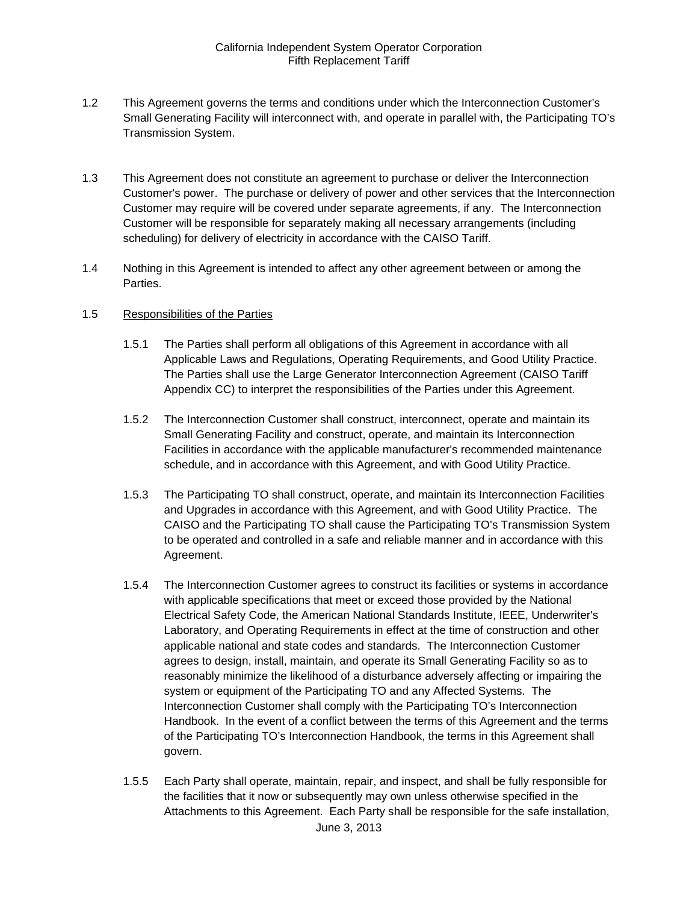- 1.2 This Agreement governs the terms and conditions under which the Interconnection Customer's Small Generating Facility will interconnect with, and operate in parallel with, the Participating TO's Transmission System.
- 1.3 This Agreement does not constitute an agreement to purchase or deliver the Interconnection Customer's power. The purchase or delivery of power and other services that the Interconnection Customer may require will be covered under separate agreements, if any. The Interconnection Customer will be responsible for separately making all necessary arrangements (including scheduling) for delivery of electricity in accordance with the CAISO Tariff.
- 1.4 Nothing in this Agreement is intended to affect any other agreement between or among the Parties.

#### 1.5 Responsibilities of the Parties

- 1.5.1 The Parties shall perform all obligations of this Agreement in accordance with all Applicable Laws and Regulations, Operating Requirements, and Good Utility Practice. The Parties shall use the Large Generator Interconnection Agreement (CAISO Tariff Appendix CC) to interpret the responsibilities of the Parties under this Agreement.
- 1.5.2 The Interconnection Customer shall construct, interconnect, operate and maintain its Small Generating Facility and construct, operate, and maintain its Interconnection Facilities in accordance with the applicable manufacturer's recommended maintenance schedule, and in accordance with this Agreement, and with Good Utility Practice.
- 1.5.3 The Participating TO shall construct, operate, and maintain its Interconnection Facilities and Upgrades in accordance with this Agreement, and with Good Utility Practice. The CAISO and the Participating TO shall cause the Participating TO's Transmission System to be operated and controlled in a safe and reliable manner and in accordance with this Agreement.
- 1.5.4 The Interconnection Customer agrees to construct its facilities or systems in accordance with applicable specifications that meet or exceed those provided by the National Electrical Safety Code, the American National Standards Institute, IEEE, Underwriter's Laboratory, and Operating Requirements in effect at the time of construction and other applicable national and state codes and standards. The Interconnection Customer agrees to design, install, maintain, and operate its Small Generating Facility so as to reasonably minimize the likelihood of a disturbance adversely affecting or impairing the system or equipment of the Participating TO and any Affected Systems. The Interconnection Customer shall comply with the Participating TO's Interconnection Handbook. In the event of a conflict between the terms of this Agreement and the terms of the Participating TO's Interconnection Handbook, the terms in this Agreement shall govern.
- June 3, 2013 1.5.5 Each Party shall operate, maintain, repair, and inspect, and shall be fully responsible for the facilities that it now or subsequently may own unless otherwise specified in the Attachments to this Agreement. Each Party shall be responsible for the safe installation,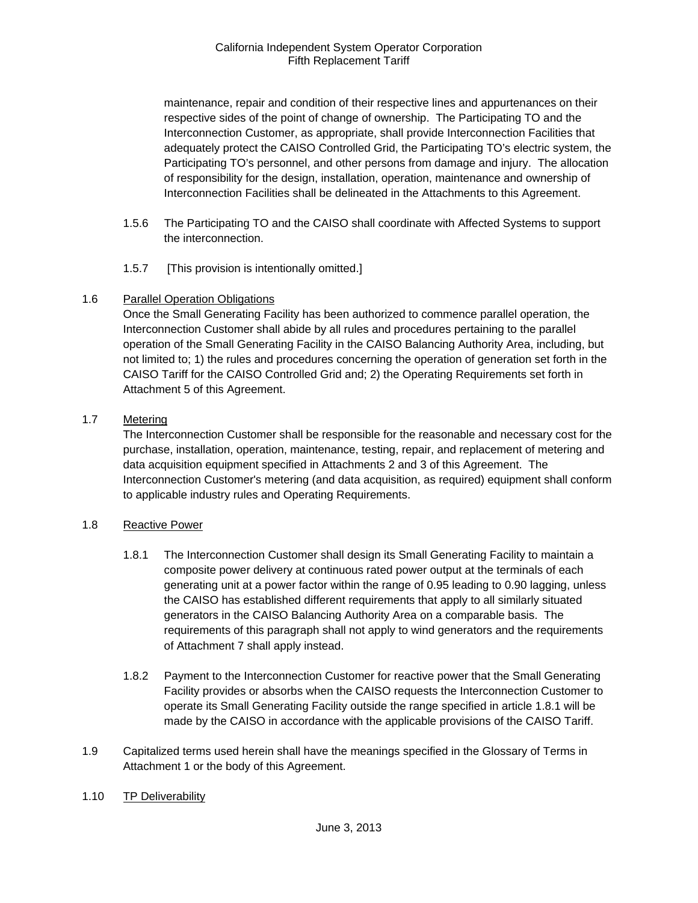maintenance, repair and condition of their respective lines and appurtenances on their respective sides of the point of change of ownership. The Participating TO and the Interconnection Customer, as appropriate, shall provide Interconnection Facilities that adequately protect the CAISO Controlled Grid, the Participating TO's electric system, the Participating TO's personnel, and other persons from damage and injury. The allocation of responsibility for the design, installation, operation, maintenance and ownership of Interconnection Facilities shall be delineated in the Attachments to this Agreement.

- 1.5.6 The Participating TO and the CAISO shall coordinate with Affected Systems to support the interconnection.
- 1.5.7 [This provision is intentionally omitted.]

# 1.6 Parallel Operation Obligations

Once the Small Generating Facility has been authorized to commence parallel operation, the Interconnection Customer shall abide by all rules and procedures pertaining to the parallel operation of the Small Generating Facility in the CAISO Balancing Authority Area, including, but not limited to; 1) the rules and procedures concerning the operation of generation set forth in the CAISO Tariff for the CAISO Controlled Grid and; 2) the Operating Requirements set forth in Attachment 5 of this Agreement.

# 1.7 Metering

The Interconnection Customer shall be responsible for the reasonable and necessary cost for the purchase, installation, operation, maintenance, testing, repair, and replacement of metering and data acquisition equipment specified in Attachments 2 and 3 of this Agreement. The Interconnection Customer's metering (and data acquisition, as required) equipment shall conform to applicable industry rules and Operating Requirements.

#### 1.8 Reactive Power

- 1.8.1 The Interconnection Customer shall design its Small Generating Facility to maintain a composite power delivery at continuous rated power output at the terminals of each generating unit at a power factor within the range of 0.95 leading to 0.90 lagging, unless the CAISO has established different requirements that apply to all similarly situated generators in the CAISO Balancing Authority Area on a comparable basis. The requirements of this paragraph shall not apply to wind generators and the requirements of Attachment 7 shall apply instead.
- 1.8.2 Payment to the Interconnection Customer for reactive power that the Small Generating Facility provides or absorbs when the CAISO requests the Interconnection Customer to operate its Small Generating Facility outside the range specified in article 1.8.1 will be made by the CAISO in accordance with the applicable provisions of the CAISO Tariff.
- 1.9 Capitalized terms used herein shall have the meanings specified in the Glossary of Terms in Attachment 1 or the body of this Agreement.
- 1.10 TP Deliverability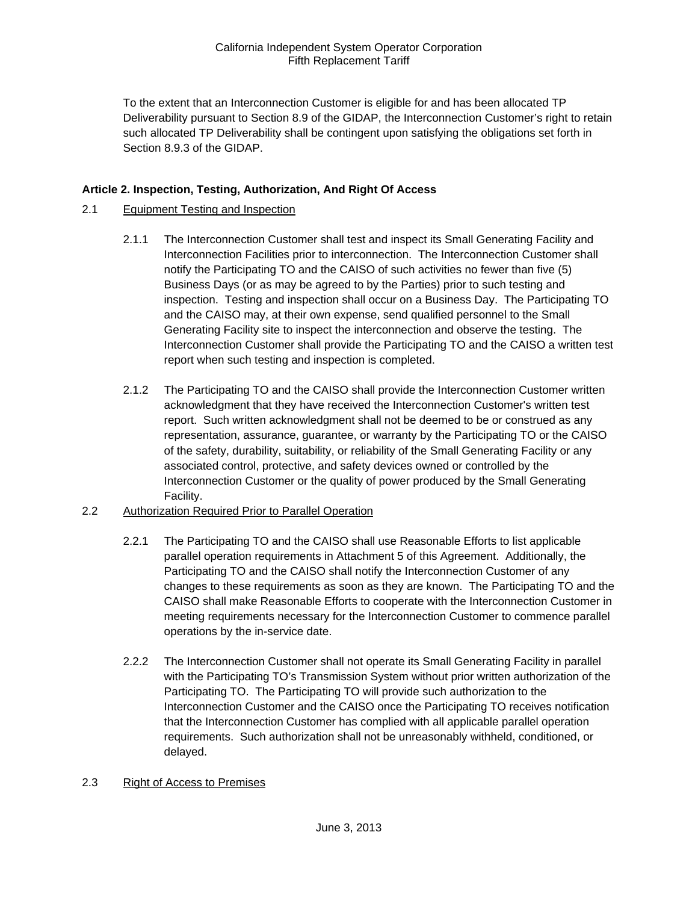To the extent that an Interconnection Customer is eligible for and has been allocated TP Deliverability pursuant to Section 8.9 of the GIDAP, the Interconnection Customer's right to retain such allocated TP Deliverability shall be contingent upon satisfying the obligations set forth in Section 8.9.3 of the GIDAP.

# **Article 2. Inspection, Testing, Authorization, And Right Of Access**

### 2.1 Equipment Testing and Inspection

- 2.1.1 The Interconnection Customer shall test and inspect its Small Generating Facility and Interconnection Facilities prior to interconnection. The Interconnection Customer shall notify the Participating TO and the CAISO of such activities no fewer than five (5) Business Days (or as may be agreed to by the Parties) prior to such testing and inspection. Testing and inspection shall occur on a Business Day. The Participating TO and the CAISO may, at their own expense, send qualified personnel to the Small Generating Facility site to inspect the interconnection and observe the testing. The Interconnection Customer shall provide the Participating TO and the CAISO a written test report when such testing and inspection is completed.
- 2.1.2 The Participating TO and the CAISO shall provide the Interconnection Customer written acknowledgment that they have received the Interconnection Customer's written test report. Such written acknowledgment shall not be deemed to be or construed as any representation, assurance, guarantee, or warranty by the Participating TO or the CAISO of the safety, durability, suitability, or reliability of the Small Generating Facility or any associated control, protective, and safety devices owned or controlled by the Interconnection Customer or the quality of power produced by the Small Generating Facility.
- 2.2 Authorization Required Prior to Parallel Operation
	- 2.2.1 The Participating TO and the CAISO shall use Reasonable Efforts to list applicable parallel operation requirements in Attachment 5 of this Agreement. Additionally, the Participating TO and the CAISO shall notify the Interconnection Customer of any changes to these requirements as soon as they are known. The Participating TO and the CAISO shall make Reasonable Efforts to cooperate with the Interconnection Customer in meeting requirements necessary for the Interconnection Customer to commence parallel operations by the in-service date.
	- 2.2.2 The Interconnection Customer shall not operate its Small Generating Facility in parallel with the Participating TO's Transmission System without prior written authorization of the Participating TO. The Participating TO will provide such authorization to the Interconnection Customer and the CAISO once the Participating TO receives notification that the Interconnection Customer has complied with all applicable parallel operation requirements. Such authorization shall not be unreasonably withheld, conditioned, or delayed.

#### 2.3 Right of Access to Premises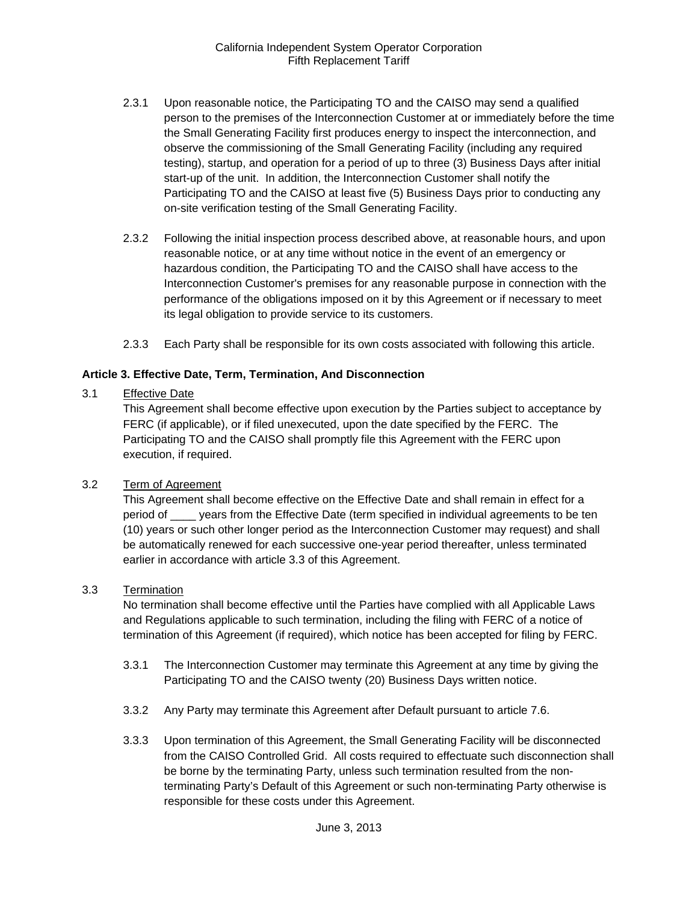- 2.3.1 Upon reasonable notice, the Participating TO and the CAISO may send a qualified person to the premises of the Interconnection Customer at or immediately before the time the Small Generating Facility first produces energy to inspect the interconnection, and observe the commissioning of the Small Generating Facility (including any required testing), startup, and operation for a period of up to three (3) Business Days after initial start-up of the unit. In addition, the Interconnection Customer shall notify the Participating TO and the CAISO at least five (5) Business Days prior to conducting any on-site verification testing of the Small Generating Facility.
- 2.3.2 Following the initial inspection process described above, at reasonable hours, and upon reasonable notice, or at any time without notice in the event of an emergency or hazardous condition, the Participating TO and the CAISO shall have access to the Interconnection Customer's premises for any reasonable purpose in connection with the performance of the obligations imposed on it by this Agreement or if necessary to meet its legal obligation to provide service to its customers.
- 2.3.3 Each Party shall be responsible for its own costs associated with following this article.

#### **Article 3. Effective Date, Term, Termination, And Disconnection**

#### 3.1 Effective Date

This Agreement shall become effective upon execution by the Parties subject to acceptance by FERC (if applicable), or if filed unexecuted, upon the date specified by the FERC. The Participating TO and the CAISO shall promptly file this Agreement with the FERC upon execution, if required.

#### 3.2 Term of Agreement

This Agreement shall become effective on the Effective Date and shall remain in effect for a period of \_\_\_\_ years from the Effective Date (term specified in individual agreements to be ten (10) years or such other longer period as the Interconnection Customer may request) and shall be automatically renewed for each successive one-year period thereafter, unless terminated earlier in accordance with article 3.3 of this Agreement.

#### 3.3 Termination

No termination shall become effective until the Parties have complied with all Applicable Laws and Regulations applicable to such termination, including the filing with FERC of a notice of termination of this Agreement (if required), which notice has been accepted for filing by FERC.

- 3.3.1 The Interconnection Customer may terminate this Agreement at any time by giving the Participating TO and the CAISO twenty (20) Business Days written notice.
- 3.3.2 Any Party may terminate this Agreement after Default pursuant to article 7.6.
- 3.3.3 Upon termination of this Agreement, the Small Generating Facility will be disconnected from the CAISO Controlled Grid. All costs required to effectuate such disconnection shall be borne by the terminating Party, unless such termination resulted from the nonterminating Party's Default of this Agreement or such non-terminating Party otherwise is responsible for these costs under this Agreement.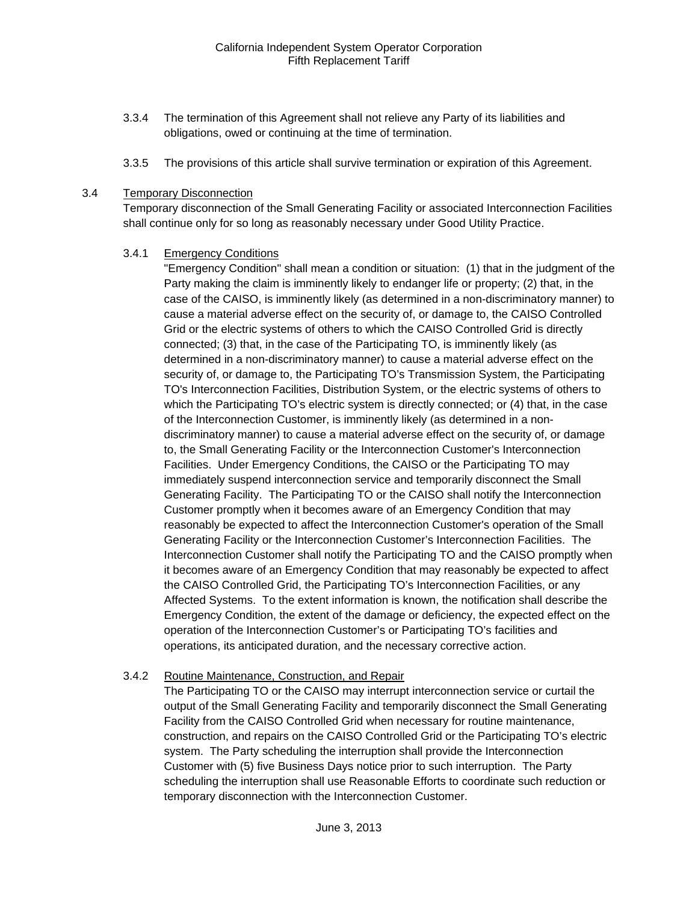- 3.3.4 The termination of this Agreement shall not relieve any Party of its liabilities and obligations, owed or continuing at the time of termination.
- 3.3.5 The provisions of this article shall survive termination or expiration of this Agreement.

#### 3.4 Temporary Disconnection

Temporary disconnection of the Small Generating Facility or associated Interconnection Facilities shall continue only for so long as reasonably necessary under Good Utility Practice.

#### 3.4.1 Emergency Conditions

"Emergency Condition" shall mean a condition or situation: (1) that in the judgment of the Party making the claim is imminently likely to endanger life or property; (2) that, in the case of the CAISO, is imminently likely (as determined in a non-discriminatory manner) to cause a material adverse effect on the security of, or damage to, the CAISO Controlled Grid or the electric systems of others to which the CAISO Controlled Grid is directly connected; (3) that, in the case of the Participating TO, is imminently likely (as determined in a non-discriminatory manner) to cause a material adverse effect on the security of, or damage to, the Participating TO's Transmission System, the Participating TO's Interconnection Facilities, Distribution System, or the electric systems of others to which the Participating TO's electric system is directly connected; or (4) that, in the case of the Interconnection Customer, is imminently likely (as determined in a nondiscriminatory manner) to cause a material adverse effect on the security of, or damage to, the Small Generating Facility or the Interconnection Customer's Interconnection Facilities. Under Emergency Conditions, the CAISO or the Participating TO may immediately suspend interconnection service and temporarily disconnect the Small Generating Facility. The Participating TO or the CAISO shall notify the Interconnection Customer promptly when it becomes aware of an Emergency Condition that may reasonably be expected to affect the Interconnection Customer's operation of the Small Generating Facility or the Interconnection Customer's Interconnection Facilities. The Interconnection Customer shall notify the Participating TO and the CAISO promptly when it becomes aware of an Emergency Condition that may reasonably be expected to affect the CAISO Controlled Grid, the Participating TO's Interconnection Facilities, or any Affected Systems. To the extent information is known, the notification shall describe the Emergency Condition, the extent of the damage or deficiency, the expected effect on the operation of the Interconnection Customer's or Participating TO's facilities and operations, its anticipated duration, and the necessary corrective action.

#### 3.4.2 Routine Maintenance, Construction, and Repair

The Participating TO or the CAISO may interrupt interconnection service or curtail the output of the Small Generating Facility and temporarily disconnect the Small Generating Facility from the CAISO Controlled Grid when necessary for routine maintenance, construction, and repairs on the CAISO Controlled Grid or the Participating TO's electric system. The Party scheduling the interruption shall provide the Interconnection Customer with (5) five Business Days notice prior to such interruption. The Party scheduling the interruption shall use Reasonable Efforts to coordinate such reduction or temporary disconnection with the Interconnection Customer.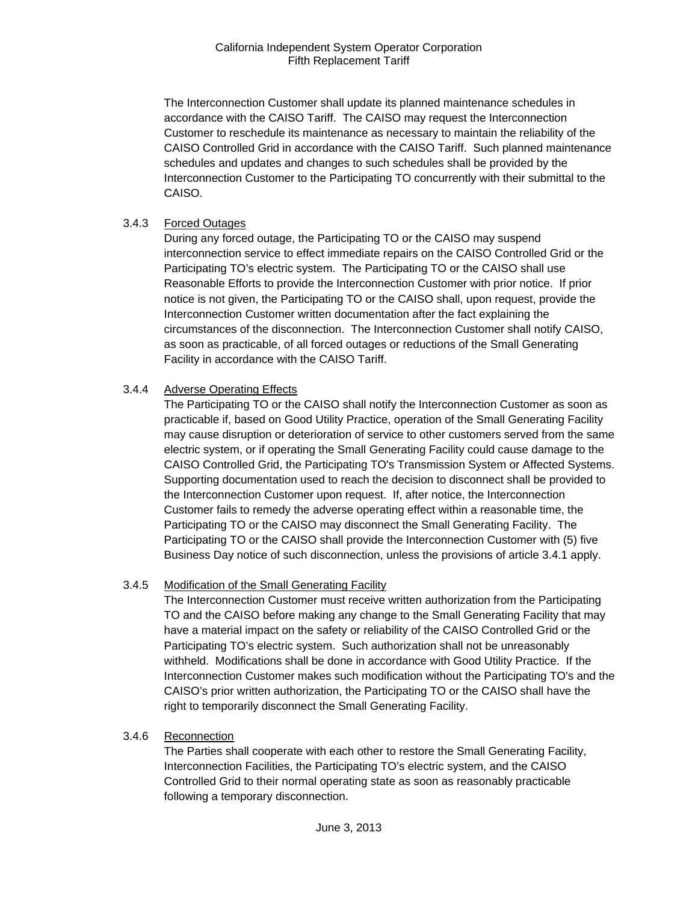The Interconnection Customer shall update its planned maintenance schedules in accordance with the CAISO Tariff. The CAISO may request the Interconnection Customer to reschedule its maintenance as necessary to maintain the reliability of the CAISO Controlled Grid in accordance with the CAISO Tariff. Such planned maintenance schedules and updates and changes to such schedules shall be provided by the Interconnection Customer to the Participating TO concurrently with their submittal to the CAISO.

#### 3.4.3 Forced Outages

During any forced outage, the Participating TO or the CAISO may suspend interconnection service to effect immediate repairs on the CAISO Controlled Grid or the Participating TO's electric system. The Participating TO or the CAISO shall use Reasonable Efforts to provide the Interconnection Customer with prior notice. If prior notice is not given, the Participating TO or the CAISO shall, upon request, provide the Interconnection Customer written documentation after the fact explaining the circumstances of the disconnection. The Interconnection Customer shall notify CAISO, as soon as practicable, of all forced outages or reductions of the Small Generating Facility in accordance with the CAISO Tariff.

# 3.4.4 Adverse Operating Effects

The Participating TO or the CAISO shall notify the Interconnection Customer as soon as practicable if, based on Good Utility Practice, operation of the Small Generating Facility may cause disruption or deterioration of service to other customers served from the same electric system, or if operating the Small Generating Facility could cause damage to the CAISO Controlled Grid, the Participating TO's Transmission System or Affected Systems. Supporting documentation used to reach the decision to disconnect shall be provided to the Interconnection Customer upon request. If, after notice, the Interconnection Customer fails to remedy the adverse operating effect within a reasonable time, the Participating TO or the CAISO may disconnect the Small Generating Facility. The Participating TO or the CAISO shall provide the Interconnection Customer with (5) five Business Day notice of such disconnection, unless the provisions of article 3.4.1 apply.

#### 3.4.5 Modification of the Small Generating Facility

The Interconnection Customer must receive written authorization from the Participating TO and the CAISO before making any change to the Small Generating Facility that may have a material impact on the safety or reliability of the CAISO Controlled Grid or the Participating TO's electric system. Such authorization shall not be unreasonably withheld. Modifications shall be done in accordance with Good Utility Practice. If the Interconnection Customer makes such modification without the Participating TO's and the CAISO's prior written authorization, the Participating TO or the CAISO shall have the right to temporarily disconnect the Small Generating Facility.

#### 3.4.6 Reconnection

The Parties shall cooperate with each other to restore the Small Generating Facility, Interconnection Facilities, the Participating TO's electric system, and the CAISO Controlled Grid to their normal operating state as soon as reasonably practicable following a temporary disconnection.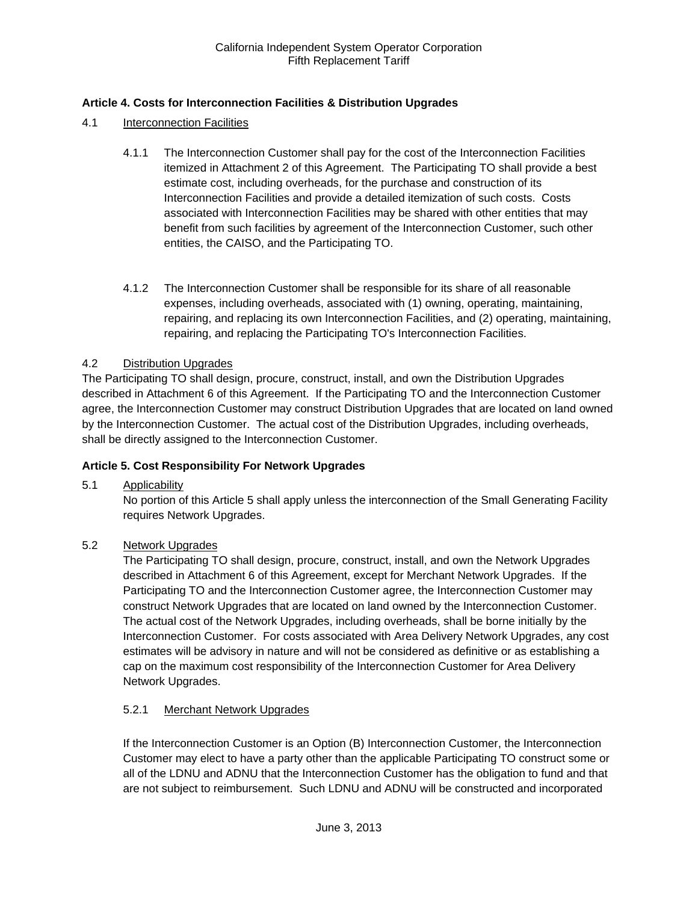# **Article 4. Costs for Interconnection Facilities & Distribution Upgrades**

- 4.1 Interconnection Facilities
	- 4.1.1 The Interconnection Customer shall pay for the cost of the Interconnection Facilities itemized in Attachment 2 of this Agreement. The Participating TO shall provide a best estimate cost, including overheads, for the purchase and construction of its Interconnection Facilities and provide a detailed itemization of such costs. Costs associated with Interconnection Facilities may be shared with other entities that may benefit from such facilities by agreement of the Interconnection Customer, such other entities, the CAISO, and the Participating TO.
	- 4.1.2 The Interconnection Customer shall be responsible for its share of all reasonable expenses, including overheads, associated with (1) owning, operating, maintaining, repairing, and replacing its own Interconnection Facilities, and (2) operating, maintaining, repairing, and replacing the Participating TO's Interconnection Facilities.

# 4.2 Distribution Upgrades

The Participating TO shall design, procure, construct, install, and own the Distribution Upgrades described in Attachment 6 of this Agreement. If the Participating TO and the Interconnection Customer agree, the Interconnection Customer may construct Distribution Upgrades that are located on land owned by the Interconnection Customer. The actual cost of the Distribution Upgrades, including overheads, shall be directly assigned to the Interconnection Customer.

#### **Article 5. Cost Responsibility For Network Upgrades**

5.1 Applicability

No portion of this Article 5 shall apply unless the interconnection of the Small Generating Facility requires Network Upgrades.

#### 5.2 Network Upgrades

The Participating TO shall design, procure, construct, install, and own the Network Upgrades described in Attachment 6 of this Agreement, except for Merchant Network Upgrades. If the Participating TO and the Interconnection Customer agree, the Interconnection Customer may construct Network Upgrades that are located on land owned by the Interconnection Customer. The actual cost of the Network Upgrades, including overheads, shall be borne initially by the Interconnection Customer. For costs associated with Area Delivery Network Upgrades, any cost estimates will be advisory in nature and will not be considered as definitive or as establishing a cap on the maximum cost responsibility of the Interconnection Customer for Area Delivery Network Upgrades.

# 5.2.1 Merchant Network Upgrades

If the Interconnection Customer is an Option (B) Interconnection Customer, the Interconnection Customer may elect to have a party other than the applicable Participating TO construct some or all of the LDNU and ADNU that the Interconnection Customer has the obligation to fund and that are not subject to reimbursement. Such LDNU and ADNU will be constructed and incorporated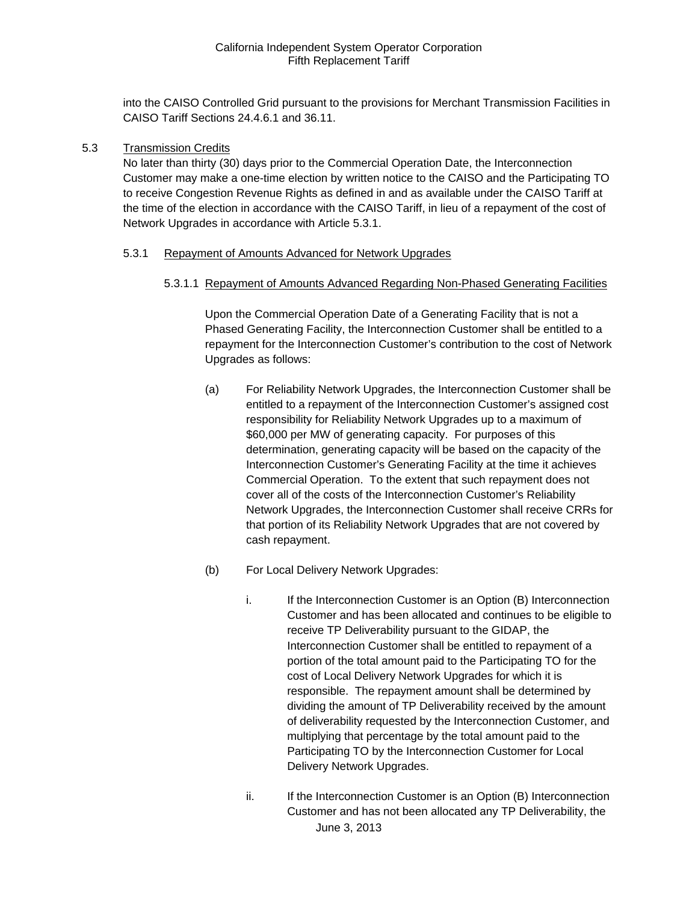into the CAISO Controlled Grid pursuant to the provisions for Merchant Transmission Facilities in CAISO Tariff Sections 24.4.6.1 and 36.11.

#### 5.3 Transmission Credits

No later than thirty (30) days prior to the Commercial Operation Date, the Interconnection Customer may make a one-time election by written notice to the CAISO and the Participating TO to receive Congestion Revenue Rights as defined in and as available under the CAISO Tariff at the time of the election in accordance with the CAISO Tariff, in lieu of a repayment of the cost of Network Upgrades in accordance with Article 5.3.1.

#### 5.3.1 Repayment of Amounts Advanced for Network Upgrades

5.3.1.1 Repayment of Amounts Advanced Regarding Non-Phased Generating Facilities

Upon the Commercial Operation Date of a Generating Facility that is not a Phased Generating Facility, the Interconnection Customer shall be entitled to a repayment for the Interconnection Customer's contribution to the cost of Network Upgrades as follows:

- (a) For Reliability Network Upgrades, the Interconnection Customer shall be entitled to a repayment of the Interconnection Customer's assigned cost responsibility for Reliability Network Upgrades up to a maximum of \$60,000 per MW of generating capacity. For purposes of this determination, generating capacity will be based on the capacity of the Interconnection Customer's Generating Facility at the time it achieves Commercial Operation. To the extent that such repayment does not cover all of the costs of the Interconnection Customer's Reliability Network Upgrades, the Interconnection Customer shall receive CRRs for that portion of its Reliability Network Upgrades that are not covered by cash repayment.
- (b) For Local Delivery Network Upgrades:
	- i. If the Interconnection Customer is an Option (B) Interconnection Customer and has been allocated and continues to be eligible to receive TP Deliverability pursuant to the GIDAP, the Interconnection Customer shall be entitled to repayment of a portion of the total amount paid to the Participating TO for the cost of Local Delivery Network Upgrades for which it is responsible. The repayment amount shall be determined by dividing the amount of TP Deliverability received by the amount of deliverability requested by the Interconnection Customer, and multiplying that percentage by the total amount paid to the Participating TO by the Interconnection Customer for Local Delivery Network Upgrades.
	- June 3, 2013 ii. If the Interconnection Customer is an Option (B) Interconnection Customer and has not been allocated any TP Deliverability, the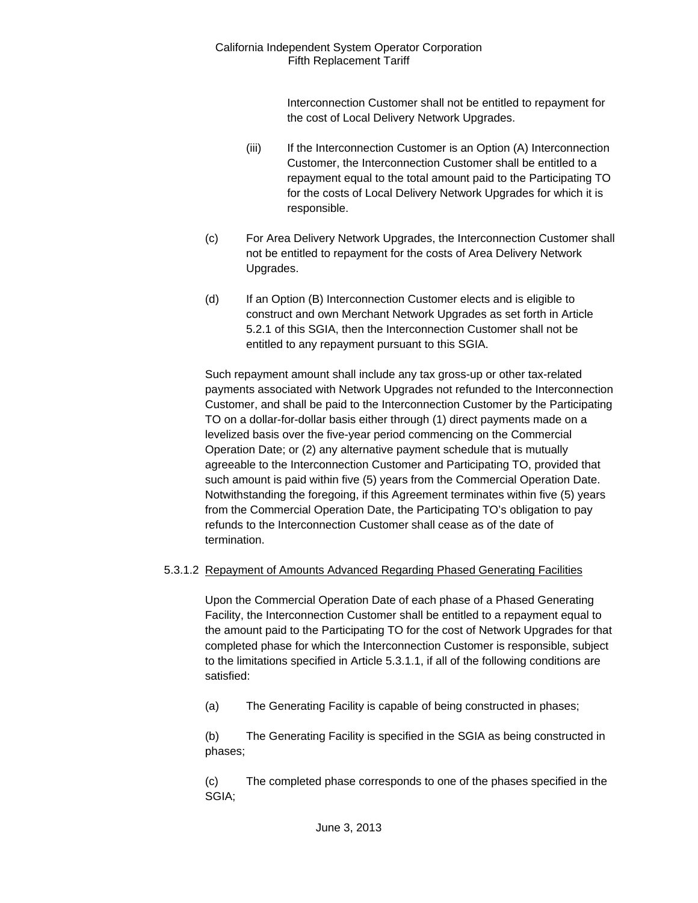> Interconnection Customer shall not be entitled to repayment for the cost of Local Delivery Network Upgrades.

- (iii) If the Interconnection Customer is an Option (A) Interconnection Customer, the Interconnection Customer shall be entitled to a repayment equal to the total amount paid to the Participating TO for the costs of Local Delivery Network Upgrades for which it is responsible.
- (c) For Area Delivery Network Upgrades, the Interconnection Customer shall not be entitled to repayment for the costs of Area Delivery Network Upgrades.
- (d) If an Option (B) Interconnection Customer elects and is eligible to construct and own Merchant Network Upgrades as set forth in Article 5.2.1 of this SGIA, then the Interconnection Customer shall not be entitled to any repayment pursuant to this SGIA.

Such repayment amount shall include any tax gross-up or other tax-related payments associated with Network Upgrades not refunded to the Interconnection Customer, and shall be paid to the Interconnection Customer by the Participating TO on a dollar-for-dollar basis either through (1) direct payments made on a levelized basis over the five-year period commencing on the Commercial Operation Date; or (2) any alternative payment schedule that is mutually agreeable to the Interconnection Customer and Participating TO, provided that such amount is paid within five (5) years from the Commercial Operation Date. Notwithstanding the foregoing, if this Agreement terminates within five (5) years from the Commercial Operation Date, the Participating TO's obligation to pay refunds to the Interconnection Customer shall cease as of the date of termination.

#### 5.3.1.2 Repayment of Amounts Advanced Regarding Phased Generating Facilities

Upon the Commercial Operation Date of each phase of a Phased Generating Facility, the Interconnection Customer shall be entitled to a repayment equal to the amount paid to the Participating TO for the cost of Network Upgrades for that completed phase for which the Interconnection Customer is responsible, subject to the limitations specified in Article 5.3.1.1, if all of the following conditions are satisfied:

(a) The Generating Facility is capable of being constructed in phases;

(b) The Generating Facility is specified in the SGIA as being constructed in phases;

(c) The completed phase corresponds to one of the phases specified in the SGIA;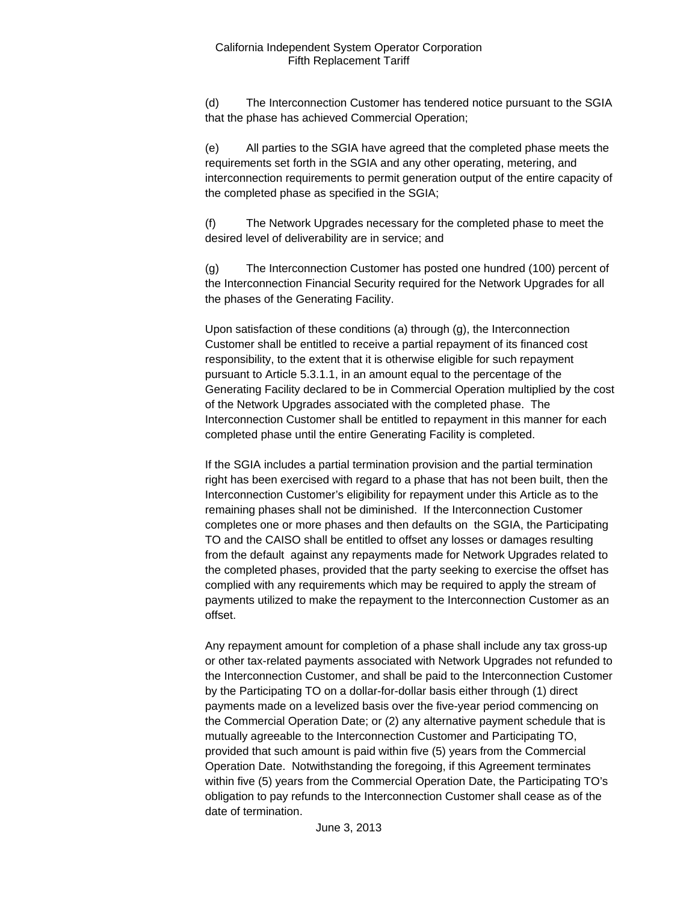(d) The Interconnection Customer has tendered notice pursuant to the SGIA that the phase has achieved Commercial Operation;

(e) All parties to the SGIA have agreed that the completed phase meets the requirements set forth in the SGIA and any other operating, metering, and interconnection requirements to permit generation output of the entire capacity of the completed phase as specified in the SGIA;

(f) The Network Upgrades necessary for the completed phase to meet the desired level of deliverability are in service; and

(g) The Interconnection Customer has posted one hundred (100) percent of the Interconnection Financial Security required for the Network Upgrades for all the phases of the Generating Facility.

Upon satisfaction of these conditions (a) through (g), the Interconnection Customer shall be entitled to receive a partial repayment of its financed cost responsibility, to the extent that it is otherwise eligible for such repayment pursuant to Article 5.3.1.1, in an amount equal to the percentage of the Generating Facility declared to be in Commercial Operation multiplied by the cost of the Network Upgrades associated with the completed phase. The Interconnection Customer shall be entitled to repayment in this manner for each completed phase until the entire Generating Facility is completed.

If the SGIA includes a partial termination provision and the partial termination right has been exercised with regard to a phase that has not been built, then the Interconnection Customer's eligibility for repayment under this Article as to the remaining phases shall not be diminished. If the Interconnection Customer completes one or more phases and then defaults on the SGIA, the Participating TO and the CAISO shall be entitled to offset any losses or damages resulting from the default against any repayments made for Network Upgrades related to the completed phases, provided that the party seeking to exercise the offset has complied with any requirements which may be required to apply the stream of payments utilized to make the repayment to the Interconnection Customer as an offset.

Any repayment amount for completion of a phase shall include any tax gross-up or other tax-related payments associated with Network Upgrades not refunded to the Interconnection Customer, and shall be paid to the Interconnection Customer by the Participating TO on a dollar-for-dollar basis either through (1) direct payments made on a levelized basis over the five-year period commencing on the Commercial Operation Date; or (2) any alternative payment schedule that is mutually agreeable to the Interconnection Customer and Participating TO, provided that such amount is paid within five (5) years from the Commercial Operation Date. Notwithstanding the foregoing, if this Agreement terminates within five (5) years from the Commercial Operation Date, the Participating TO's obligation to pay refunds to the Interconnection Customer shall cease as of the date of termination.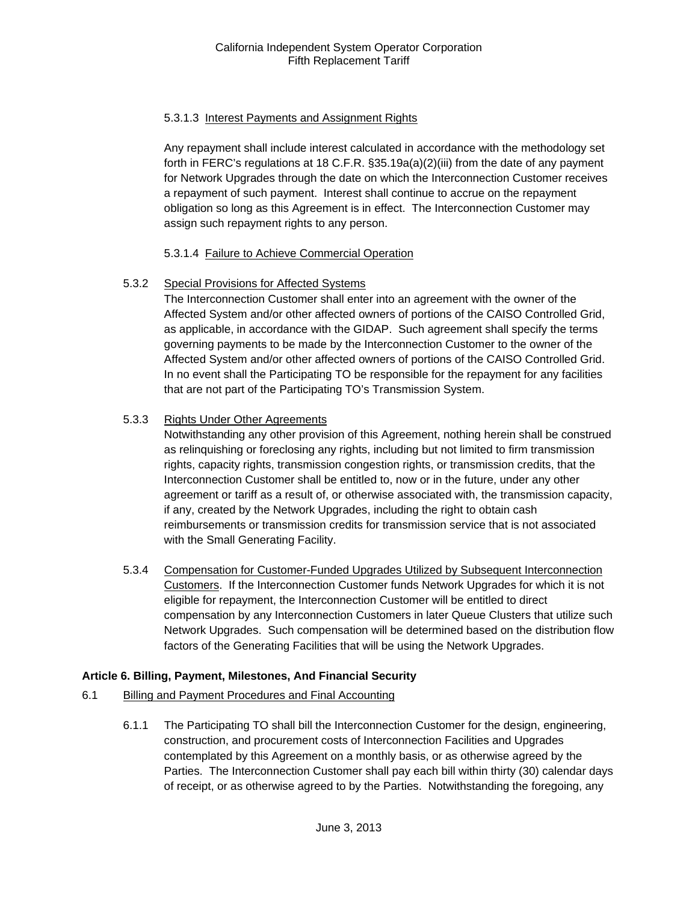# 5.3.1.3 Interest Payments and Assignment Rights

Any repayment shall include interest calculated in accordance with the methodology set forth in FERC's regulations at 18 C.F.R. §35.19a(a)(2)(iii) from the date of any payment for Network Upgrades through the date on which the Interconnection Customer receives a repayment of such payment. Interest shall continue to accrue on the repayment obligation so long as this Agreement is in effect. The Interconnection Customer may assign such repayment rights to any person.

# 5.3.1.4 Failure to Achieve Commercial Operation

# 5.3.2 Special Provisions for Affected Systems

The Interconnection Customer shall enter into an agreement with the owner of the Affected System and/or other affected owners of portions of the CAISO Controlled Grid, as applicable, in accordance with the GIDAP. Such agreement shall specify the terms governing payments to be made by the Interconnection Customer to the owner of the Affected System and/or other affected owners of portions of the CAISO Controlled Grid. In no event shall the Participating TO be responsible for the repayment for any facilities that are not part of the Participating TO's Transmission System.

# 5.3.3 Rights Under Other Agreements

Notwithstanding any other provision of this Agreement, nothing herein shall be construed as relinquishing or foreclosing any rights, including but not limited to firm transmission rights, capacity rights, transmission congestion rights, or transmission credits, that the Interconnection Customer shall be entitled to, now or in the future, under any other agreement or tariff as a result of, or otherwise associated with, the transmission capacity, if any, created by the Network Upgrades, including the right to obtain cash reimbursements or transmission credits for transmission service that is not associated with the Small Generating Facility.

5.3.4 Compensation for Customer-Funded Upgrades Utilized by Subsequent Interconnection Customers. If the Interconnection Customer funds Network Upgrades for which it is not eligible for repayment, the Interconnection Customer will be entitled to direct compensation by any Interconnection Customers in later Queue Clusters that utilize such Network Upgrades. Such compensation will be determined based on the distribution flow factors of the Generating Facilities that will be using the Network Upgrades.

# **Article 6. Billing, Payment, Milestones, And Financial Security**

- 6.1 Billing and Payment Procedures and Final Accounting
	- 6.1.1 The Participating TO shall bill the Interconnection Customer for the design, engineering, construction, and procurement costs of Interconnection Facilities and Upgrades contemplated by this Agreement on a monthly basis, or as otherwise agreed by the Parties. The Interconnection Customer shall pay each bill within thirty (30) calendar days of receipt, or as otherwise agreed to by the Parties. Notwithstanding the foregoing, any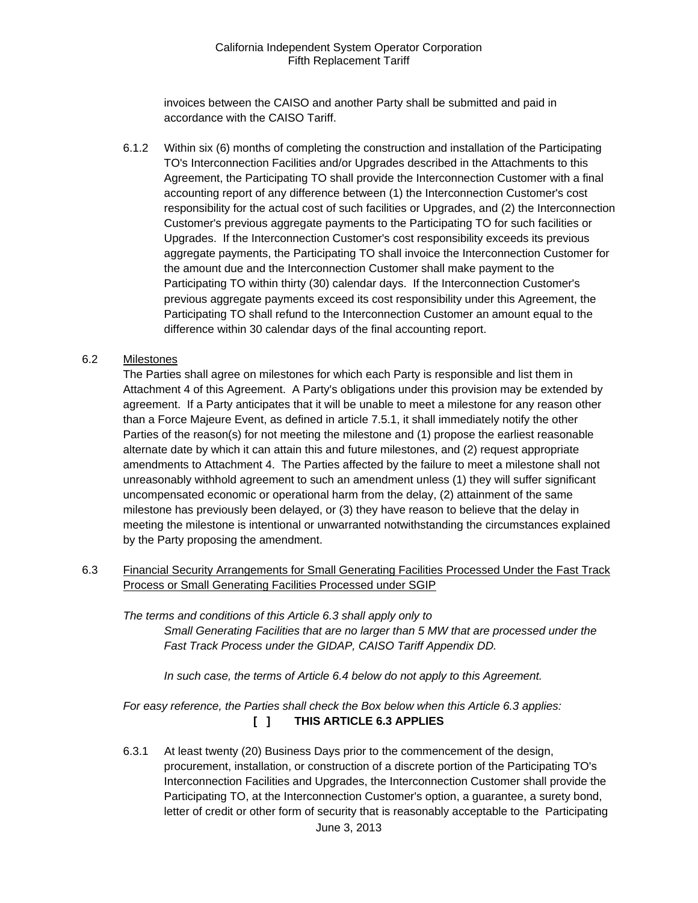invoices between the CAISO and another Party shall be submitted and paid in accordance with the CAISO Tariff.

 6.1.2 Within six (6) months of completing the construction and installation of the Participating TO's Interconnection Facilities and/or Upgrades described in the Attachments to this Agreement, the Participating TO shall provide the Interconnection Customer with a final accounting report of any difference between (1) the Interconnection Customer's cost responsibility for the actual cost of such facilities or Upgrades, and (2) the Interconnection Customer's previous aggregate payments to the Participating TO for such facilities or Upgrades. If the Interconnection Customer's cost responsibility exceeds its previous aggregate payments, the Participating TO shall invoice the Interconnection Customer for the amount due and the Interconnection Customer shall make payment to the Participating TO within thirty (30) calendar days. If the Interconnection Customer's previous aggregate payments exceed its cost responsibility under this Agreement, the Participating TO shall refund to the Interconnection Customer an amount equal to the difference within 30 calendar days of the final accounting report.

# 6.2 Milestones

The Parties shall agree on milestones for which each Party is responsible and list them in Attachment 4 of this Agreement. A Party's obligations under this provision may be extended by agreement. If a Party anticipates that it will be unable to meet a milestone for any reason other than a Force Majeure Event, as defined in article 7.5.1, it shall immediately notify the other Parties of the reason(s) for not meeting the milestone and (1) propose the earliest reasonable alternate date by which it can attain this and future milestones, and (2) request appropriate amendments to Attachment 4. The Parties affected by the failure to meet a milestone shall not unreasonably withhold agreement to such an amendment unless (1) they will suffer significant uncompensated economic or operational harm from the delay, (2) attainment of the same milestone has previously been delayed, or (3) they have reason to believe that the delay in meeting the milestone is intentional or unwarranted notwithstanding the circumstances explained by the Party proposing the amendment.

6.3 Financial Security Arrangements for Small Generating Facilities Processed Under the Fast Track Process or Small Generating Facilities Processed under SGIP

*The terms and conditions of this Article 6.3 shall apply only to Small Generating Facilities that are no larger than 5 MW that are processed under the Fast Track Process under the GIDAP, CAISO Tariff Appendix DD.* 

*In such case, the terms of Article 6.4 below do not apply to this Agreement.* 

*For easy reference, the Parties shall check the Box below when this Article 6.3 applies:*  **[ ] THIS ARTICLE 6.3 APPLIES** 

June 3, 2013 6.3.1 At least twenty (20) Business Days prior to the commencement of the design, procurement, installation, or construction of a discrete portion of the Participating TO's Interconnection Facilities and Upgrades, the Interconnection Customer shall provide the Participating TO, at the Interconnection Customer's option, a guarantee, a surety bond, letter of credit or other form of security that is reasonably acceptable to the Participating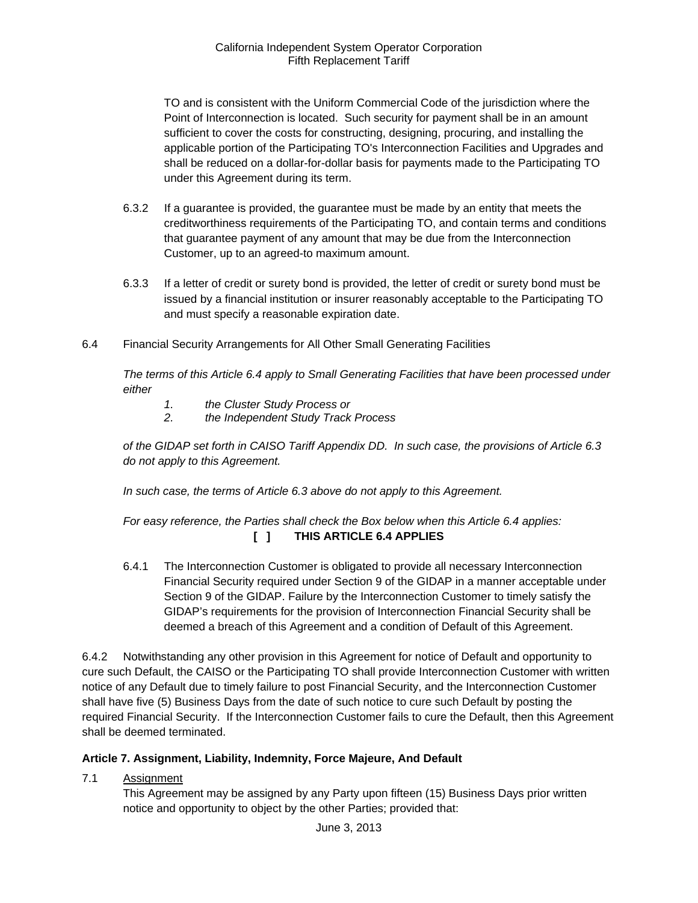TO and is consistent with the Uniform Commercial Code of the jurisdiction where the Point of Interconnection is located. Such security for payment shall be in an amount sufficient to cover the costs for constructing, designing, procuring, and installing the applicable portion of the Participating TO's Interconnection Facilities and Upgrades and shall be reduced on a dollar-for-dollar basis for payments made to the Participating TO under this Agreement during its term.

- 6.3.2 If a guarantee is provided, the guarantee must be made by an entity that meets the creditworthiness requirements of the Participating TO, and contain terms and conditions that guarantee payment of any amount that may be due from the Interconnection Customer, up to an agreed-to maximum amount.
- 6.3.3 If a letter of credit or surety bond is provided, the letter of credit or surety bond must be issued by a financial institution or insurer reasonably acceptable to the Participating TO and must specify a reasonable expiration date.
- 6.4 Financial Security Arrangements for All Other Small Generating Facilities

*The terms of this Article 6.4 apply to Small Generating Facilities that have been processed under either* 

- *1. the Cluster Study Process or*
- *2. the Independent Study Track Process*

*of the GIDAP set forth in CAISO Tariff Appendix DD. In such case, the provisions of Article 6.3 do not apply to this Agreement.* 

 *In such case, the terms of Article 6.3 above do not apply to this Agreement.* 

# *For easy reference, the Parties shall check the Box below when this Article 6.4 applies:*  **[ ] THIS ARTICLE 6.4 APPLIES**

6.4.1 The Interconnection Customer is obligated to provide all necessary Interconnection Financial Security required under Section 9 of the GIDAP in a manner acceptable under Section 9 of the GIDAP. Failure by the Interconnection Customer to timely satisfy the GIDAP's requirements for the provision of Interconnection Financial Security shall be deemed a breach of this Agreement and a condition of Default of this Agreement.

6.4.2 Notwithstanding any other provision in this Agreement for notice of Default and opportunity to cure such Default, the CAISO or the Participating TO shall provide Interconnection Customer with written notice of any Default due to timely failure to post Financial Security, and the Interconnection Customer shall have five (5) Business Days from the date of such notice to cure such Default by posting the required Financial Security. If the Interconnection Customer fails to cure the Default, then this Agreement shall be deemed terminated.

#### **Article 7. Assignment, Liability, Indemnity, Force Majeure, And Default**

7.1 Assignment

This Agreement may be assigned by any Party upon fifteen (15) Business Days prior written notice and opportunity to object by the other Parties; provided that: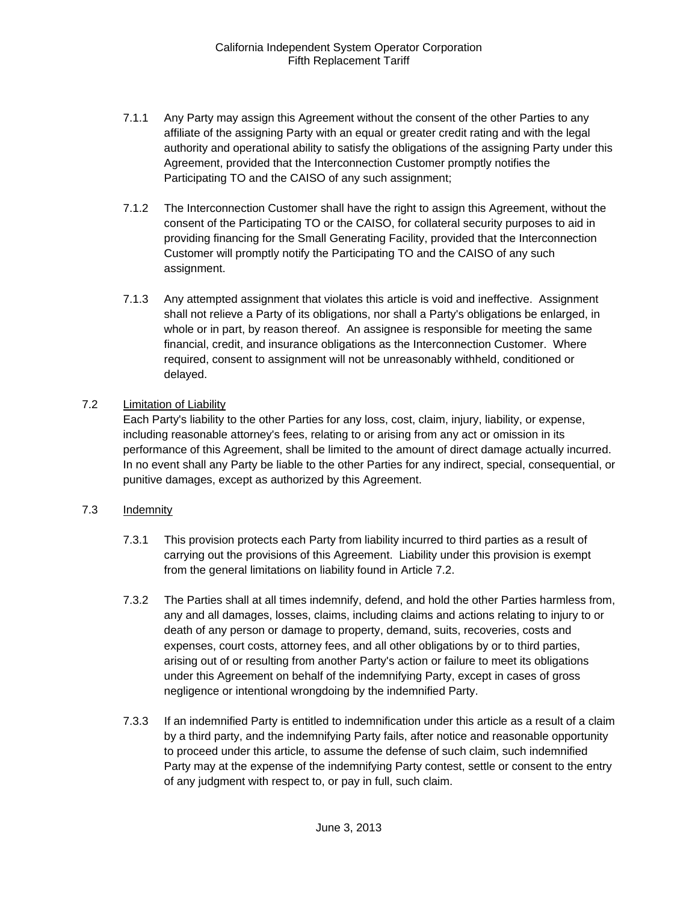- 7.1.1 Any Party may assign this Agreement without the consent of the other Parties to any affiliate of the assigning Party with an equal or greater credit rating and with the legal authority and operational ability to satisfy the obligations of the assigning Party under this Agreement, provided that the Interconnection Customer promptly notifies the Participating TO and the CAISO of any such assignment;
- 7.1.2 The Interconnection Customer shall have the right to assign this Agreement, without the consent of the Participating TO or the CAISO, for collateral security purposes to aid in providing financing for the Small Generating Facility, provided that the Interconnection Customer will promptly notify the Participating TO and the CAISO of any such assignment.
- 7.1.3 Any attempted assignment that violates this article is void and ineffective. Assignment shall not relieve a Party of its obligations, nor shall a Party's obligations be enlarged, in whole or in part, by reason thereof. An assignee is responsible for meeting the same financial, credit, and insurance obligations as the Interconnection Customer. Where required, consent to assignment will not be unreasonably withheld, conditioned or delayed.

# 7.2 Limitation of Liability

Each Party's liability to the other Parties for any loss, cost, claim, injury, liability, or expense, including reasonable attorney's fees, relating to or arising from any act or omission in its performance of this Agreement, shall be limited to the amount of direct damage actually incurred. In no event shall any Party be liable to the other Parties for any indirect, special, consequential, or punitive damages, except as authorized by this Agreement.

# 7.3 Indemnity

- 7.3.1 This provision protects each Party from liability incurred to third parties as a result of carrying out the provisions of this Agreement. Liability under this provision is exempt from the general limitations on liability found in Article 7.2.
- 7.3.2 The Parties shall at all times indemnify, defend, and hold the other Parties harmless from, any and all damages, losses, claims, including claims and actions relating to injury to or death of any person or damage to property, demand, suits, recoveries, costs and expenses, court costs, attorney fees, and all other obligations by or to third parties, arising out of or resulting from another Party's action or failure to meet its obligations under this Agreement on behalf of the indemnifying Party, except in cases of gross negligence or intentional wrongdoing by the indemnified Party.
- 7.3.3 If an indemnified Party is entitled to indemnification under this article as a result of a claim by a third party, and the indemnifying Party fails, after notice and reasonable opportunity to proceed under this article, to assume the defense of such claim, such indemnified Party may at the expense of the indemnifying Party contest, settle or consent to the entry of any judgment with respect to, or pay in full, such claim.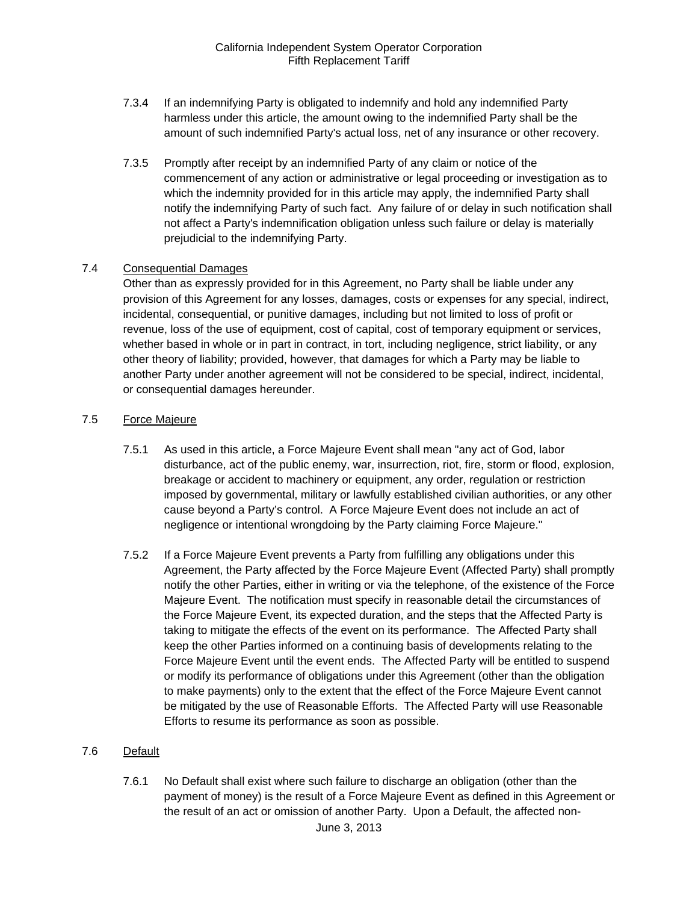- 7.3.4 If an indemnifying Party is obligated to indemnify and hold any indemnified Party harmless under this article, the amount owing to the indemnified Party shall be the amount of such indemnified Party's actual loss, net of any insurance or other recovery.
- 7.3.5 Promptly after receipt by an indemnified Party of any claim or notice of the commencement of any action or administrative or legal proceeding or investigation as to which the indemnity provided for in this article may apply, the indemnified Party shall notify the indemnifying Party of such fact. Any failure of or delay in such notification shall not affect a Party's indemnification obligation unless such failure or delay is materially prejudicial to the indemnifying Party.

#### 7.4 Consequential Damages

Other than as expressly provided for in this Agreement, no Party shall be liable under any provision of this Agreement for any losses, damages, costs or expenses for any special, indirect, incidental, consequential, or punitive damages, including but not limited to loss of profit or revenue, loss of the use of equipment, cost of capital, cost of temporary equipment or services, whether based in whole or in part in contract, in tort, including negligence, strict liability, or any other theory of liability; provided, however, that damages for which a Party may be liable to another Party under another agreement will not be considered to be special, indirect, incidental, or consequential damages hereunder.

#### 7.5 Force Majeure

- 7.5.1 As used in this article, a Force Majeure Event shall mean "any act of God, labor disturbance, act of the public enemy, war, insurrection, riot, fire, storm or flood, explosion, breakage or accident to machinery or equipment, any order, regulation or restriction imposed by governmental, military or lawfully established civilian authorities, or any other cause beyond a Party's control. A Force Majeure Event does not include an act of negligence or intentional wrongdoing by the Party claiming Force Majeure."
- 7.5.2 If a Force Majeure Event prevents a Party from fulfilling any obligations under this Agreement, the Party affected by the Force Majeure Event (Affected Party) shall promptly notify the other Parties, either in writing or via the telephone, of the existence of the Force Majeure Event. The notification must specify in reasonable detail the circumstances of the Force Majeure Event, its expected duration, and the steps that the Affected Party is taking to mitigate the effects of the event on its performance. The Affected Party shall keep the other Parties informed on a continuing basis of developments relating to the Force Majeure Event until the event ends. The Affected Party will be entitled to suspend or modify its performance of obligations under this Agreement (other than the obligation to make payments) only to the extent that the effect of the Force Majeure Event cannot be mitigated by the use of Reasonable Efforts. The Affected Party will use Reasonable Efforts to resume its performance as soon as possible.

#### 7.6 Default

June 3, 2013 7.6.1 No Default shall exist where such failure to discharge an obligation (other than the payment of money) is the result of a Force Majeure Event as defined in this Agreement or the result of an act or omission of another Party. Upon a Default, the affected non-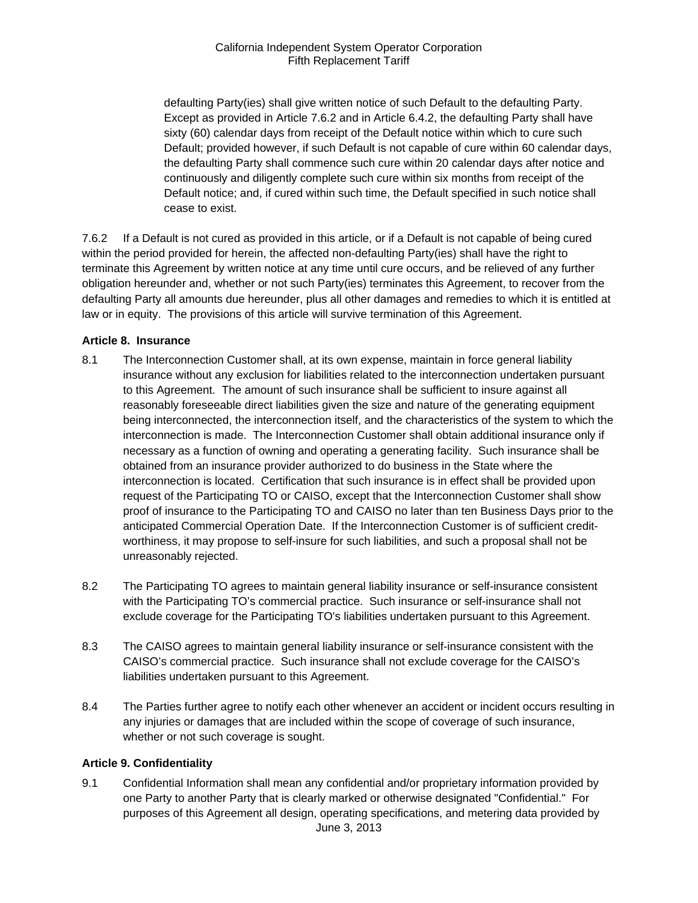defaulting Party(ies) shall give written notice of such Default to the defaulting Party. Except as provided in Article 7.6.2 and in Article 6.4.2, the defaulting Party shall have sixty (60) calendar days from receipt of the Default notice within which to cure such Default; provided however, if such Default is not capable of cure within 60 calendar days, the defaulting Party shall commence such cure within 20 calendar days after notice and continuously and diligently complete such cure within six months from receipt of the Default notice; and, if cured within such time, the Default specified in such notice shall cease to exist.

7.6.2 If a Default is not cured as provided in this article, or if a Default is not capable of being cured within the period provided for herein, the affected non-defaulting Party(ies) shall have the right to terminate this Agreement by written notice at any time until cure occurs, and be relieved of any further obligation hereunder and, whether or not such Party(ies) terminates this Agreement, to recover from the defaulting Party all amounts due hereunder, plus all other damages and remedies to which it is entitled at law or in equity. The provisions of this article will survive termination of this Agreement.

#### **Article 8. Insurance**

- 8.1 The Interconnection Customer shall, at its own expense, maintain in force general liability insurance without any exclusion for liabilities related to the interconnection undertaken pursuant to this Agreement. The amount of such insurance shall be sufficient to insure against all reasonably foreseeable direct liabilities given the size and nature of the generating equipment being interconnected, the interconnection itself, and the characteristics of the system to which the interconnection is made. The Interconnection Customer shall obtain additional insurance only if necessary as a function of owning and operating a generating facility. Such insurance shall be obtained from an insurance provider authorized to do business in the State where the interconnection is located. Certification that such insurance is in effect shall be provided upon request of the Participating TO or CAISO, except that the Interconnection Customer shall show proof of insurance to the Participating TO and CAISO no later than ten Business Days prior to the anticipated Commercial Operation Date. If the Interconnection Customer is of sufficient creditworthiness, it may propose to self-insure for such liabilities, and such a proposal shall not be unreasonably rejected.
- 8.2 The Participating TO agrees to maintain general liability insurance or self-insurance consistent with the Participating TO's commercial practice. Such insurance or self-insurance shall not exclude coverage for the Participating TO's liabilities undertaken pursuant to this Agreement.
- 8.3 The CAISO agrees to maintain general liability insurance or self-insurance consistent with the CAISO's commercial practice. Such insurance shall not exclude coverage for the CAISO's liabilities undertaken pursuant to this Agreement.
- 8.4 The Parties further agree to notify each other whenever an accident or incident occurs resulting in any injuries or damages that are included within the scope of coverage of such insurance, whether or not such coverage is sought.

#### **Article 9. Confidentiality**

June 3, 2013 9.1 Confidential Information shall mean any confidential and/or proprietary information provided by one Party to another Party that is clearly marked or otherwise designated "Confidential." For purposes of this Agreement all design, operating specifications, and metering data provided by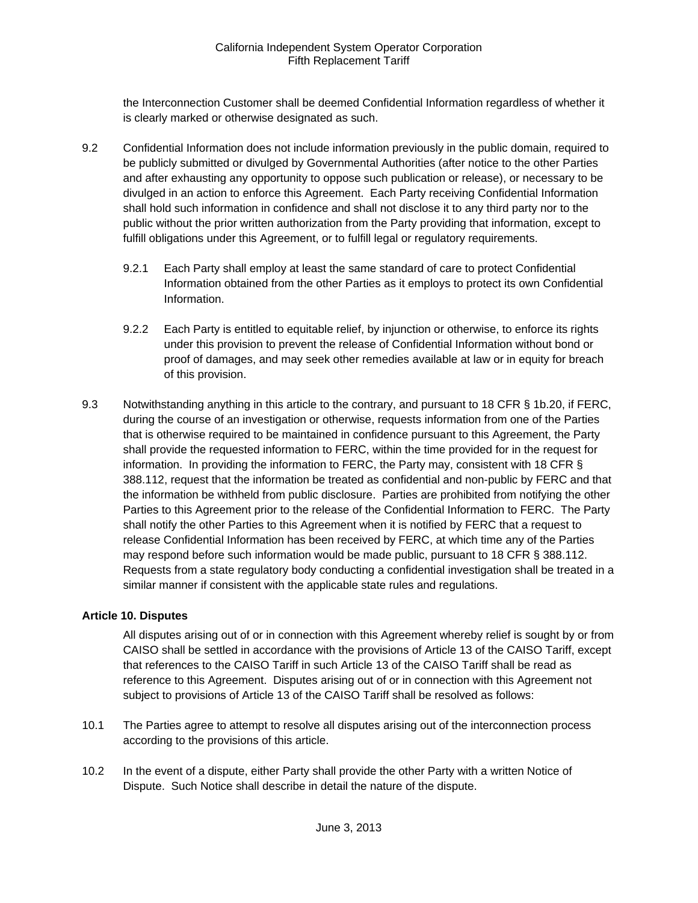the Interconnection Customer shall be deemed Confidential Information regardless of whether it is clearly marked or otherwise designated as such.

- 9.2 Confidential Information does not include information previously in the public domain, required to be publicly submitted or divulged by Governmental Authorities (after notice to the other Parties and after exhausting any opportunity to oppose such publication or release), or necessary to be divulged in an action to enforce this Agreement. Each Party receiving Confidential Information shall hold such information in confidence and shall not disclose it to any third party nor to the public without the prior written authorization from the Party providing that information, except to fulfill obligations under this Agreement, or to fulfill legal or regulatory requirements.
	- 9.2.1 Each Party shall employ at least the same standard of care to protect Confidential Information obtained from the other Parties as it employs to protect its own Confidential Information.
	- 9.2.2 Each Party is entitled to equitable relief, by injunction or otherwise, to enforce its rights under this provision to prevent the release of Confidential Information without bond or proof of damages, and may seek other remedies available at law or in equity for breach of this provision.
- 9.3 Notwithstanding anything in this article to the contrary, and pursuant to 18 CFR § 1b.20, if FERC, during the course of an investigation or otherwise, requests information from one of the Parties that is otherwise required to be maintained in confidence pursuant to this Agreement, the Party shall provide the requested information to FERC, within the time provided for in the request for information. In providing the information to FERC, the Party may, consistent with 18 CFR § 388.112, request that the information be treated as confidential and non-public by FERC and that the information be withheld from public disclosure. Parties are prohibited from notifying the other Parties to this Agreement prior to the release of the Confidential Information to FERC. The Party shall notify the other Parties to this Agreement when it is notified by FERC that a request to release Confidential Information has been received by FERC, at which time any of the Parties may respond before such information would be made public, pursuant to 18 CFR § 388.112. Requests from a state regulatory body conducting a confidential investigation shall be treated in a similar manner if consistent with the applicable state rules and regulations.

# **Article 10. Disputes**

All disputes arising out of or in connection with this Agreement whereby relief is sought by or from CAISO shall be settled in accordance with the provisions of Article 13 of the CAISO Tariff, except that references to the CAISO Tariff in such Article 13 of the CAISO Tariff shall be read as reference to this Agreement. Disputes arising out of or in connection with this Agreement not subject to provisions of Article 13 of the CAISO Tariff shall be resolved as follows:

- 10.1 The Parties agree to attempt to resolve all disputes arising out of the interconnection process according to the provisions of this article.
- 10.2 In the event of a dispute, either Party shall provide the other Party with a written Notice of Dispute. Such Notice shall describe in detail the nature of the dispute.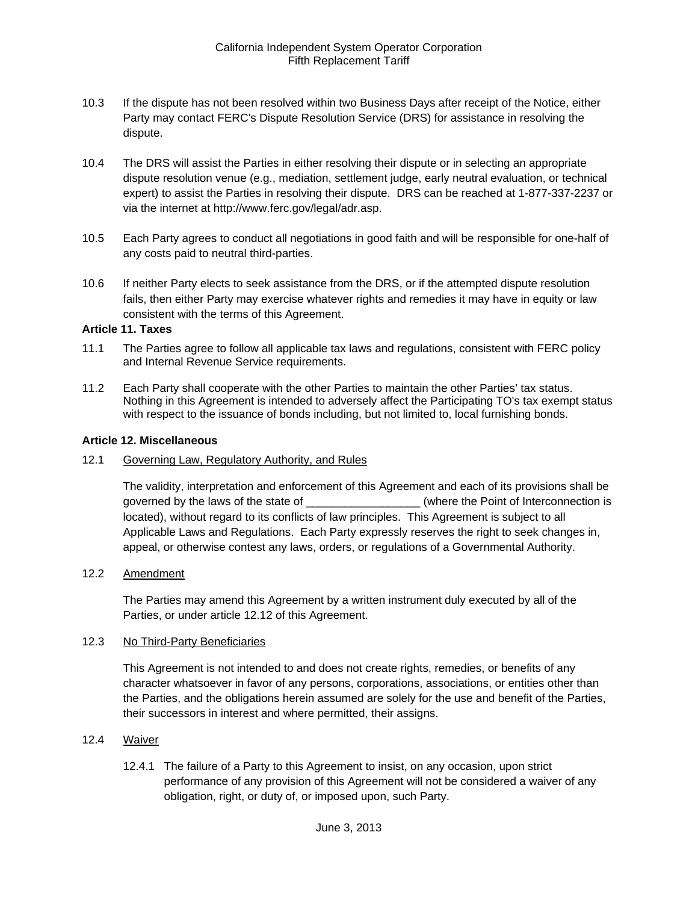- 10.3 If the dispute has not been resolved within two Business Days after receipt of the Notice, either Party may contact FERC's Dispute Resolution Service (DRS) for assistance in resolving the dispute.
- 10.4 The DRS will assist the Parties in either resolving their dispute or in selecting an appropriate dispute resolution venue (e.g., mediation, settlement judge, early neutral evaluation, or technical expert) to assist the Parties in resolving their dispute. DRS can be reached at 1-877-337-2237 or via the internet at http://www.ferc.gov/legal/adr.asp.
- 10.5 Each Party agrees to conduct all negotiations in good faith and will be responsible for one-half of any costs paid to neutral third-parties.
- 10.6 If neither Party elects to seek assistance from the DRS, or if the attempted dispute resolution fails, then either Party may exercise whatever rights and remedies it may have in equity or law consistent with the terms of this Agreement.

#### **Article 11. Taxes**

- 11.1 The Parties agree to follow all applicable tax laws and regulations, consistent with FERC policy and Internal Revenue Service requirements.
- 11.2 Each Party shall cooperate with the other Parties to maintain the other Parties' tax status. Nothing in this Agreement is intended to adversely affect the Participating TO's tax exempt status with respect to the issuance of bonds including, but not limited to, local furnishing bonds.

#### **Article 12. Miscellaneous**

12.1 Governing Law, Regulatory Authority, and Rules

The validity, interpretation and enforcement of this Agreement and each of its provisions shall be governed by the laws of the state of \_\_\_\_\_\_\_\_\_\_\_\_\_\_\_\_\_\_\_\_\_(where the Point of Interconnection is located), without regard to its conflicts of law principles. This Agreement is subject to all Applicable Laws and Regulations. Each Party expressly reserves the right to seek changes in, appeal, or otherwise contest any laws, orders, or regulations of a Governmental Authority.

#### 12.2 Amendment

The Parties may amend this Agreement by a written instrument duly executed by all of the Parties, or under article 12.12 of this Agreement.

#### 12.3 No Third-Party Beneficiaries

This Agreement is not intended to and does not create rights, remedies, or benefits of any character whatsoever in favor of any persons, corporations, associations, or entities other than the Parties, and the obligations herein assumed are solely for the use and benefit of the Parties, their successors in interest and where permitted, their assigns.

# 12.4 Waiver

12.4.1 The failure of a Party to this Agreement to insist, on any occasion, upon strict performance of any provision of this Agreement will not be considered a waiver of any obligation, right, or duty of, or imposed upon, such Party.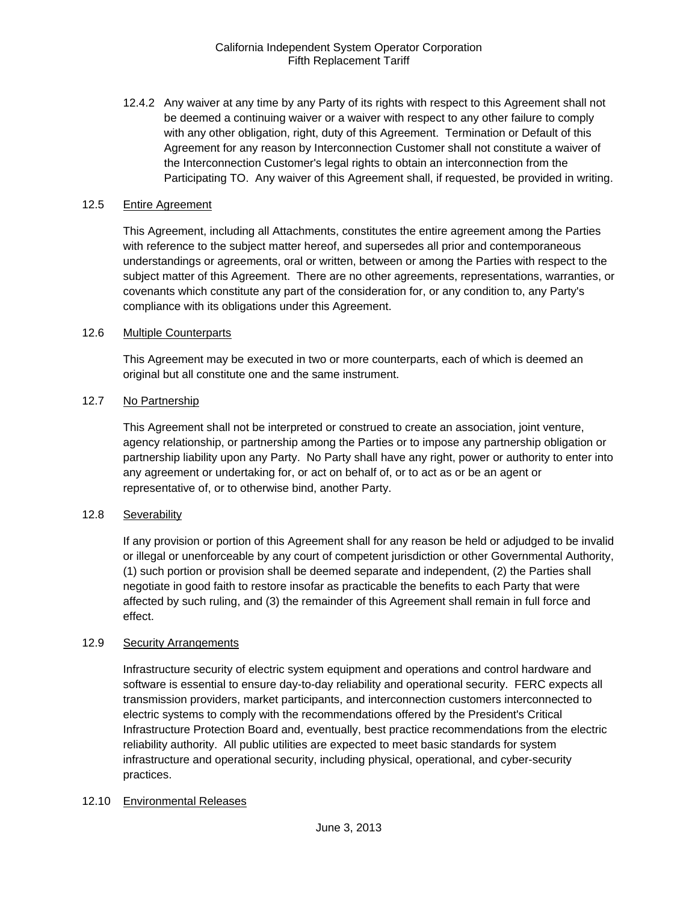12.4.2 Any waiver at any time by any Party of its rights with respect to this Agreement shall not be deemed a continuing waiver or a waiver with respect to any other failure to comply with any other obligation, right, duty of this Agreement. Termination or Default of this Agreement for any reason by Interconnection Customer shall not constitute a waiver of the Interconnection Customer's legal rights to obtain an interconnection from the Participating TO. Any waiver of this Agreement shall, if requested, be provided in writing.

### 12.5 Entire Agreement

This Agreement, including all Attachments, constitutes the entire agreement among the Parties with reference to the subject matter hereof, and supersedes all prior and contemporaneous understandings or agreements, oral or written, between or among the Parties with respect to the subject matter of this Agreement. There are no other agreements, representations, warranties, or covenants which constitute any part of the consideration for, or any condition to, any Party's compliance with its obligations under this Agreement.

# 12.6 Multiple Counterparts

This Agreement may be executed in two or more counterparts, each of which is deemed an original but all constitute one and the same instrument.

# 12.7 No Partnership

This Agreement shall not be interpreted or construed to create an association, joint venture, agency relationship, or partnership among the Parties or to impose any partnership obligation or partnership liability upon any Party. No Party shall have any right, power or authority to enter into any agreement or undertaking for, or act on behalf of, or to act as or be an agent or representative of, or to otherwise bind, another Party.

# 12.8 Severability

If any provision or portion of this Agreement shall for any reason be held or adjudged to be invalid or illegal or unenforceable by any court of competent jurisdiction or other Governmental Authority, (1) such portion or provision shall be deemed separate and independent, (2) the Parties shall negotiate in good faith to restore insofar as practicable the benefits to each Party that were affected by such ruling, and (3) the remainder of this Agreement shall remain in full force and effect.

#### 12.9 Security Arrangements

Infrastructure security of electric system equipment and operations and control hardware and software is essential to ensure day-to-day reliability and operational security. FERC expects all transmission providers, market participants, and interconnection customers interconnected to electric systems to comply with the recommendations offered by the President's Critical Infrastructure Protection Board and, eventually, best practice recommendations from the electric reliability authority. All public utilities are expected to meet basic standards for system infrastructure and operational security, including physical, operational, and cyber-security practices.

#### 12.10 Environmental Releases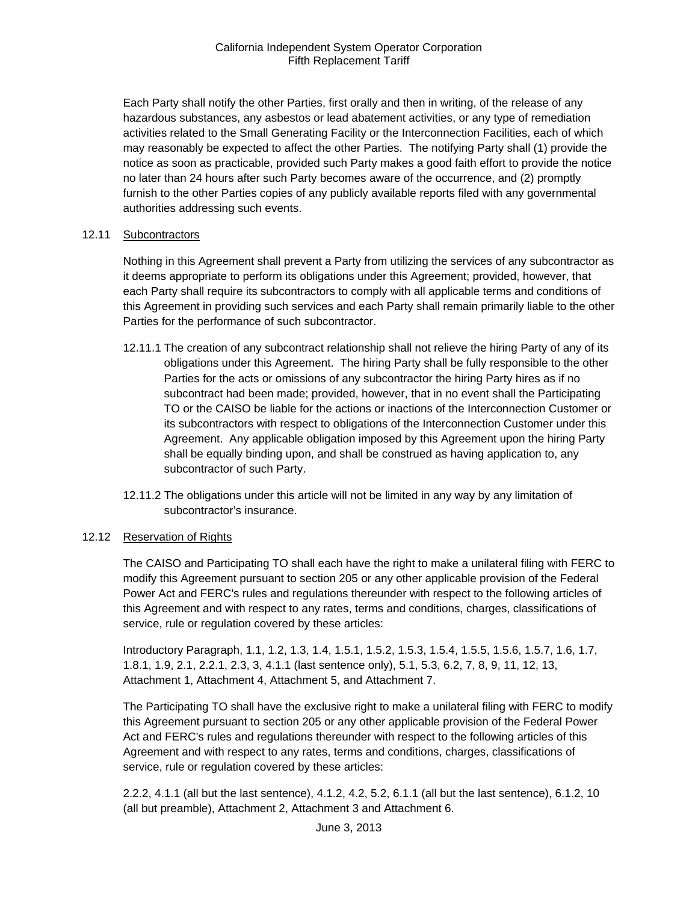Each Party shall notify the other Parties, first orally and then in writing, of the release of any hazardous substances, any asbestos or lead abatement activities, or any type of remediation activities related to the Small Generating Facility or the Interconnection Facilities, each of which may reasonably be expected to affect the other Parties. The notifying Party shall (1) provide the notice as soon as practicable, provided such Party makes a good faith effort to provide the notice no later than 24 hours after such Party becomes aware of the occurrence, and (2) promptly furnish to the other Parties copies of any publicly available reports filed with any governmental authorities addressing such events.

#### 12.11 Subcontractors

Nothing in this Agreement shall prevent a Party from utilizing the services of any subcontractor as it deems appropriate to perform its obligations under this Agreement; provided, however, that each Party shall require its subcontractors to comply with all applicable terms and conditions of this Agreement in providing such services and each Party shall remain primarily liable to the other Parties for the performance of such subcontractor.

- 12.11.1 The creation of any subcontract relationship shall not relieve the hiring Party of any of its obligations under this Agreement. The hiring Party shall be fully responsible to the other Parties for the acts or omissions of any subcontractor the hiring Party hires as if no subcontract had been made; provided, however, that in no event shall the Participating TO or the CAISO be liable for the actions or inactions of the Interconnection Customer or its subcontractors with respect to obligations of the Interconnection Customer under this Agreement. Any applicable obligation imposed by this Agreement upon the hiring Party shall be equally binding upon, and shall be construed as having application to, any subcontractor of such Party.
- 12.11.2 The obligations under this article will not be limited in any way by any limitation of subcontractor's insurance.

# 12.12 Reservation of Rights

The CAISO and Participating TO shall each have the right to make a unilateral filing with FERC to modify this Agreement pursuant to section 205 or any other applicable provision of the Federal Power Act and FERC's rules and regulations thereunder with respect to the following articles of this Agreement and with respect to any rates, terms and conditions, charges, classifications of service, rule or regulation covered by these articles:

Introductory Paragraph, 1.1, 1.2, 1.3, 1.4, 1.5.1, 1.5.2, 1.5.3, 1.5.4, 1.5.5, 1.5.6, 1.5.7, 1.6, 1.7, 1.8.1, 1.9, 2.1, 2.2.1, 2.3, 3, 4.1.1 (last sentence only), 5.1, 5.3, 6.2, 7, 8, 9, 11, 12, 13, Attachment 1, Attachment 4, Attachment 5, and Attachment 7.

The Participating TO shall have the exclusive right to make a unilateral filing with FERC to modify this Agreement pursuant to section 205 or any other applicable provision of the Federal Power Act and FERC's rules and regulations thereunder with respect to the following articles of this Agreement and with respect to any rates, terms and conditions, charges, classifications of service, rule or regulation covered by these articles:

2.2.2, 4.1.1 (all but the last sentence), 4.1.2, 4.2, 5.2, 6.1.1 (all but the last sentence), 6.1.2, 10 (all but preamble), Attachment 2, Attachment 3 and Attachment 6.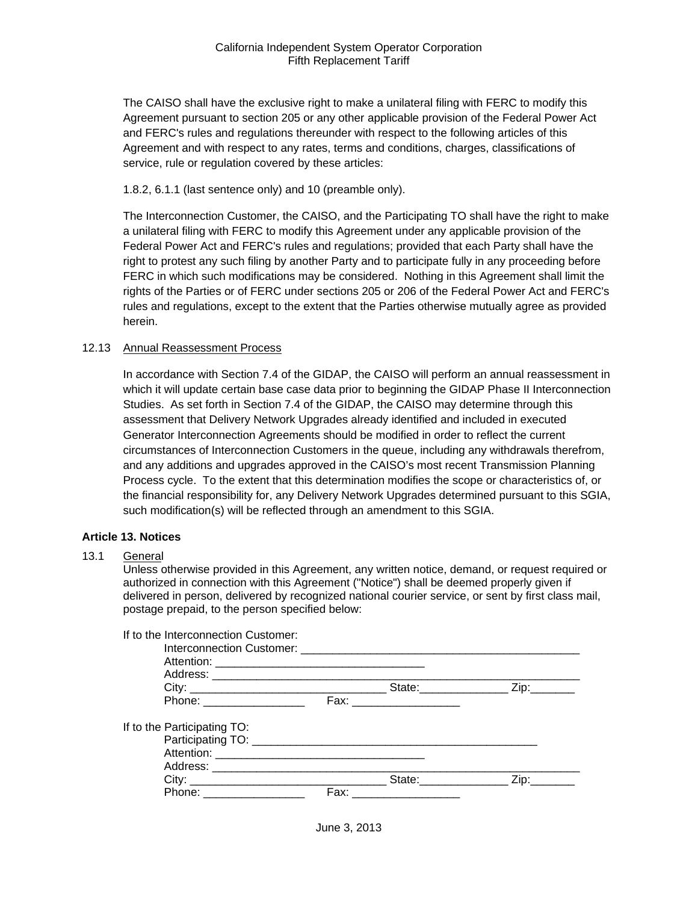The CAISO shall have the exclusive right to make a unilateral filing with FERC to modify this Agreement pursuant to section 205 or any other applicable provision of the Federal Power Act and FERC's rules and regulations thereunder with respect to the following articles of this Agreement and with respect to any rates, terms and conditions, charges, classifications of service, rule or regulation covered by these articles:

1.8.2, 6.1.1 (last sentence only) and 10 (preamble only).

The Interconnection Customer, the CAISO, and the Participating TO shall have the right to make a unilateral filing with FERC to modify this Agreement under any applicable provision of the Federal Power Act and FERC's rules and regulations; provided that each Party shall have the right to protest any such filing by another Party and to participate fully in any proceeding before FERC in which such modifications may be considered. Nothing in this Agreement shall limit the rights of the Parties or of FERC under sections 205 or 206 of the Federal Power Act and FERC's rules and regulations, except to the extent that the Parties otherwise mutually agree as provided herein.

#### 12.13 Annual Reassessment Process

In accordance with Section 7.4 of the GIDAP, the CAISO will perform an annual reassessment in which it will update certain base case data prior to beginning the GIDAP Phase II Interconnection Studies. As set forth in Section 7.4 of the GIDAP, the CAISO may determine through this assessment that Delivery Network Upgrades already identified and included in executed Generator Interconnection Agreements should be modified in order to reflect the current circumstances of Interconnection Customers in the queue, including any withdrawals therefrom, and any additions and upgrades approved in the CAISO's most recent Transmission Planning Process cycle. To the extent that this determination modifies the scope or characteristics of, or the financial responsibility for, any Delivery Network Upgrades determined pursuant to this SGIA, such modification(s) will be reflected through an amendment to this SGIA.

#### **Article 13. Notices**

#### 13.1 General

Unless otherwise provided in this Agreement, any written notice, demand, or request required or authorized in connection with this Agreement ("Notice") shall be deemed properly given if delivered in person, delivered by recognized national courier service, or sent by first class mail, postage prepaid, to the person specified below:

| If to the Interconnection Customer: |      |             |
|-------------------------------------|------|-------------|
|                                     |      |             |
|                                     |      |             |
|                                     |      |             |
|                                     |      |             |
| Phone: __________________           |      |             |
| If to the Participating TO:         |      |             |
|                                     |      |             |
|                                     |      |             |
|                                     |      |             |
|                                     |      | State: Zip: |
| Phone: ____________________         | Fax: |             |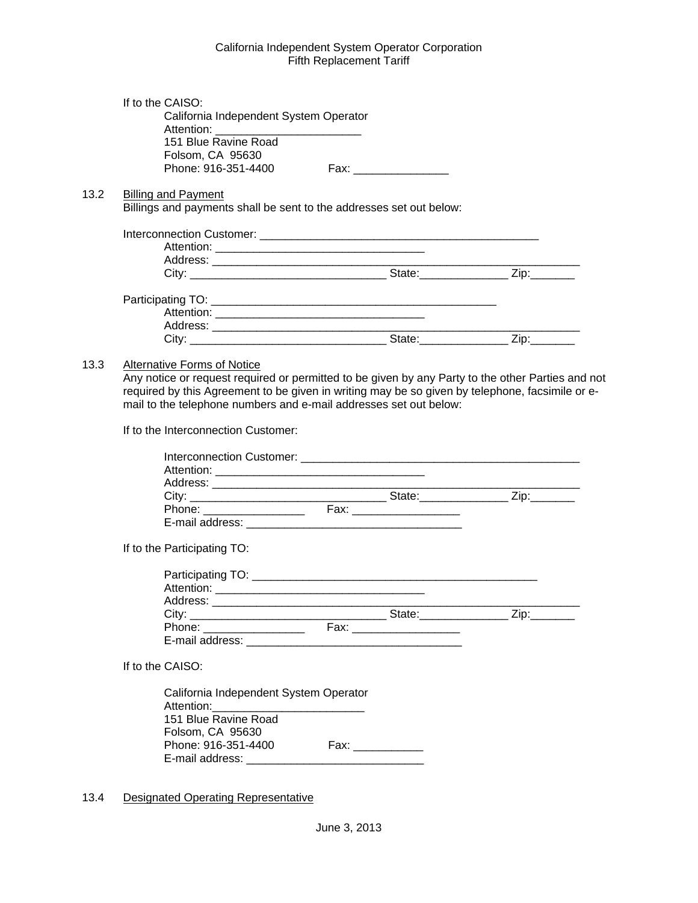|      | If to the CAISO:                                                                                  |                          |  |
|------|---------------------------------------------------------------------------------------------------|--------------------------|--|
|      | California Independent System Operator                                                            |                          |  |
|      | 151 Blue Ravine Road                                                                              |                          |  |
|      | Folsom, CA 95630                                                                                  |                          |  |
|      | Phone: 916-351-4400                                                                               |                          |  |
| 13.2 | <b>Billing and Payment</b>                                                                        |                          |  |
|      | Billings and payments shall be sent to the addresses set out below:                               |                          |  |
|      |                                                                                                   |                          |  |
|      |                                                                                                   |                          |  |
|      |                                                                                                   |                          |  |
|      |                                                                                                   |                          |  |
|      |                                                                                                   |                          |  |
|      |                                                                                                   |                          |  |
|      |                                                                                                   |                          |  |
|      |                                                                                                   |                          |  |
|      |                                                                                                   |                          |  |
| 13.3 | <b>Alternative Forms of Notice</b>                                                                |                          |  |
|      | Any notice or request required or permitted to be given by any Party to the other Parties and not |                          |  |
|      | required by this Agreement to be given in writing may be so given by telephone, facsimile or e-   |                          |  |
|      | mail to the telephone numbers and e-mail addresses set out below:                                 |                          |  |
|      | If to the Interconnection Customer:                                                               |                          |  |
|      |                                                                                                   |                          |  |
|      |                                                                                                   |                          |  |
|      |                                                                                                   |                          |  |
|      |                                                                                                   |                          |  |
|      |                                                                                                   |                          |  |
|      |                                                                                                   |                          |  |
|      |                                                                                                   |                          |  |
|      |                                                                                                   |                          |  |
|      | If to the Participating TO:                                                                       |                          |  |
|      |                                                                                                   |                          |  |
|      |                                                                                                   |                          |  |
|      |                                                                                                   |                          |  |
|      |                                                                                                   |                          |  |
|      | Phone: __________________                                                                         | Fax: ___________________ |  |
|      |                                                                                                   |                          |  |
|      |                                                                                                   |                          |  |
|      | If to the CAISO:                                                                                  |                          |  |
|      | California Independent System Operator                                                            |                          |  |
|      | Attention:                                                                                        |                          |  |
|      | 151 Blue Ravine Road                                                                              |                          |  |
|      | Folsom, CA 95630                                                                                  |                          |  |
|      | Phone: 916-351-4400                                                                               |                          |  |
|      |                                                                                                   |                          |  |
|      |                                                                                                   |                          |  |
|      |                                                                                                   |                          |  |

13.4 Designated Operating Representative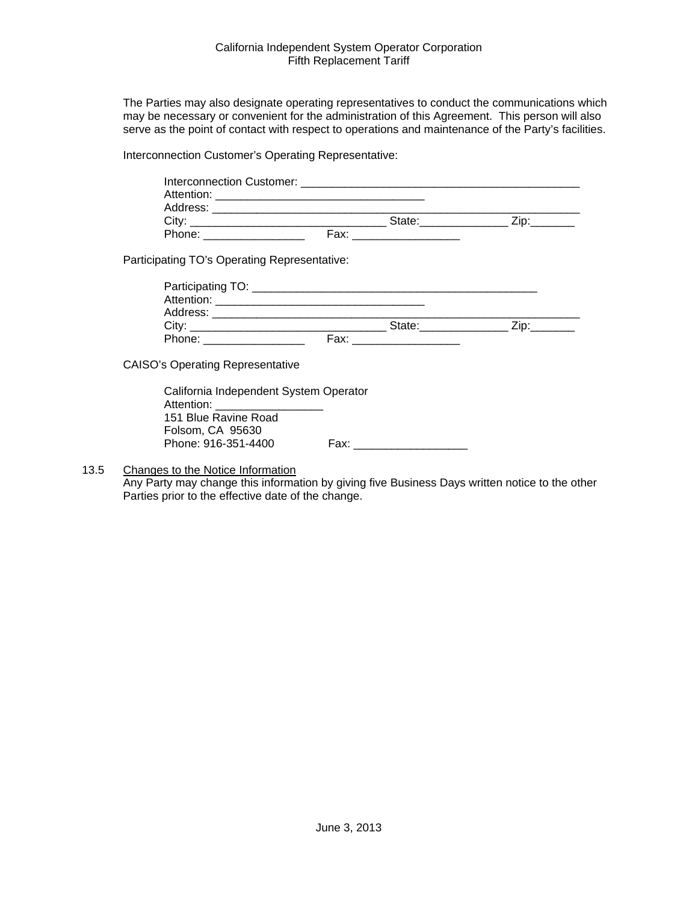The Parties may also designate operating representatives to conduct the communications which may be necessary or convenient for the administration of this Agreement. This person will also serve as the point of contact with respect to operations and maintenance of the Party's facilities.

Interconnection Customer's Operating Representative:

|                                                                              | Interconnection Customer: Network and Security and Security and Security and Security and Security and Security and Security and Security and Security and Security and Security and Security and Security and Security and Se |  |
|------------------------------------------------------------------------------|--------------------------------------------------------------------------------------------------------------------------------------------------------------------------------------------------------------------------------|--|
| Address:                                                                     |                                                                                                                                                                                                                                |  |
| City <sup>-</sup><br><u> 1980 - Jan Stein Bernstein, fransk konge og det</u> | State:                                                                                                                                                                                                                         |  |
| Phone:                                                                       | Fax:                                                                                                                                                                                                                           |  |
|                                                                              |                                                                                                                                                                                                                                |  |

Participating TO's Operating Representative:

| Participating TO:     |      |        |  |
|-----------------------|------|--------|--|
| Attention: Attention: |      |        |  |
| Address:              |      |        |  |
| City:                 |      | State: |  |
| Phone:                | Fax: |        |  |

CAISO's Operating Representative

California Independent System Operator Attention: 151 Blue Ravine Road Folsom, CA 95630 Phone: 916-351-4400 Fax: \_\_\_\_\_\_\_\_\_\_\_\_\_\_\_\_\_\_

13.5 Changes to the Notice Information

Any Party may change this information by giving five Business Days written notice to the other Parties prior to the effective date of the change.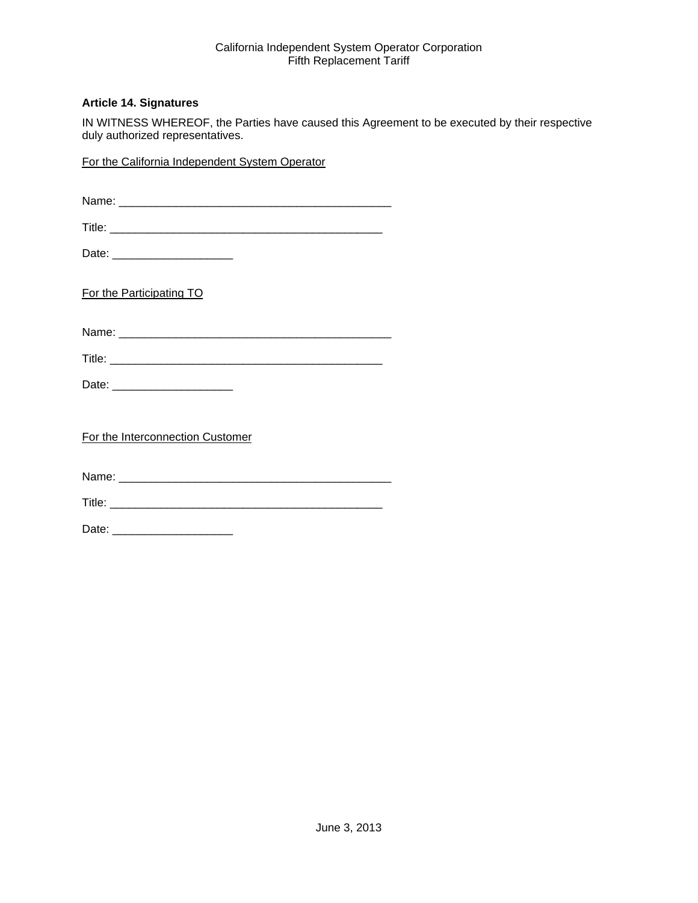# **Article 14. Signatures**

IN WITNESS WHEREOF, the Parties have caused this Agreement to be executed by their respective duly authorized representatives.

For the California Independent System Operator

| Date: ________________________   |
|----------------------------------|
| For the Participating TO         |
|                                  |
|                                  |
| Date: _________________________  |
| For the Interconnection Customer |
|                                  |
|                                  |
|                                  |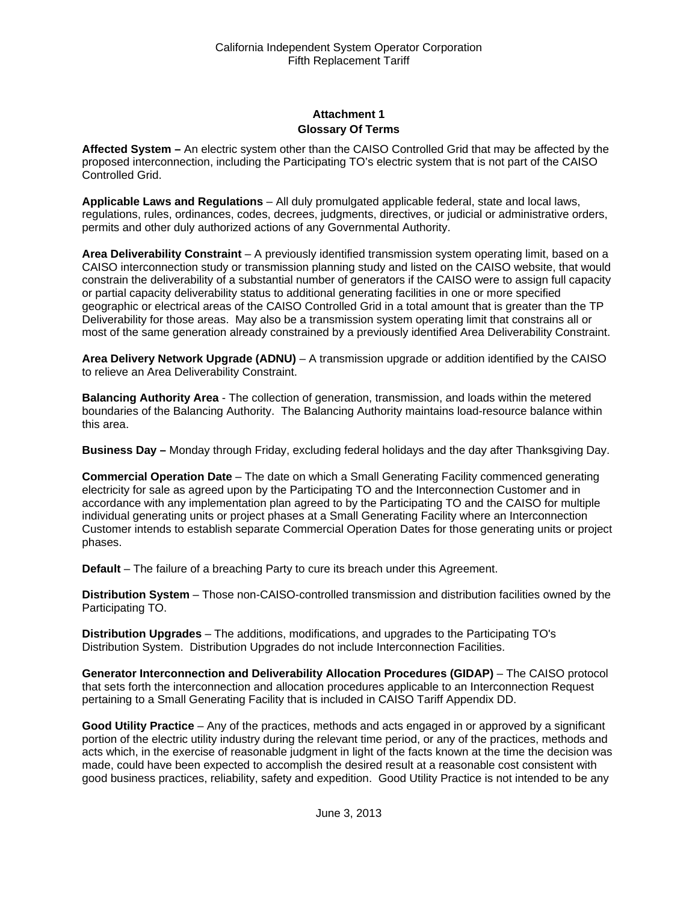# **Attachment 1 Glossary Of Terms**

**Affected System –** An electric system other than the CAISO Controlled Grid that may be affected by the proposed interconnection, including the Participating TO's electric system that is not part of the CAISO Controlled Grid.

**Applicable Laws and Regulations** – All duly promulgated applicable federal, state and local laws, regulations, rules, ordinances, codes, decrees, judgments, directives, or judicial or administrative orders, permits and other duly authorized actions of any Governmental Authority.

**Area Deliverability Constraint** – A previously identified transmission system operating limit, based on a CAISO interconnection study or transmission planning study and listed on the CAISO website, that would constrain the deliverability of a substantial number of generators if the CAISO were to assign full capacity or partial capacity deliverability status to additional generating facilities in one or more specified geographic or electrical areas of the CAISO Controlled Grid in a total amount that is greater than the TP Deliverability for those areas. May also be a transmission system operating limit that constrains all or most of the same generation already constrained by a previously identified Area Deliverability Constraint.

**Area Delivery Network Upgrade (ADNU)** – A transmission upgrade or addition identified by the CAISO to relieve an Area Deliverability Constraint.

**Balancing Authority Area** - The collection of generation, transmission, and loads within the metered boundaries of the Balancing Authority. The Balancing Authority maintains load-resource balance within this area.

**Business Day –** Monday through Friday, excluding federal holidays and the day after Thanksgiving Day.

**Commercial Operation Date** – The date on which a Small Generating Facility commenced generating electricity for sale as agreed upon by the Participating TO and the Interconnection Customer and in accordance with any implementation plan agreed to by the Participating TO and the CAISO for multiple individual generating units or project phases at a Small Generating Facility where an Interconnection Customer intends to establish separate Commercial Operation Dates for those generating units or project phases.

**Default** – The failure of a breaching Party to cure its breach under this Agreement.

**Distribution System** – Those non-CAISO-controlled transmission and distribution facilities owned by the Participating TO.

**Distribution Upgrades** – The additions, modifications, and upgrades to the Participating TO's Distribution System. Distribution Upgrades do not include Interconnection Facilities.

**Generator Interconnection and Deliverability Allocation Procedures (GIDAP)** – The CAISO protocol that sets forth the interconnection and allocation procedures applicable to an Interconnection Request pertaining to a Small Generating Facility that is included in CAISO Tariff Appendix DD.

**Good Utility Practice** – Any of the practices, methods and acts engaged in or approved by a significant portion of the electric utility industry during the relevant time period, or any of the practices, methods and acts which, in the exercise of reasonable judgment in light of the facts known at the time the decision was made, could have been expected to accomplish the desired result at a reasonable cost consistent with good business practices, reliability, safety and expedition. Good Utility Practice is not intended to be any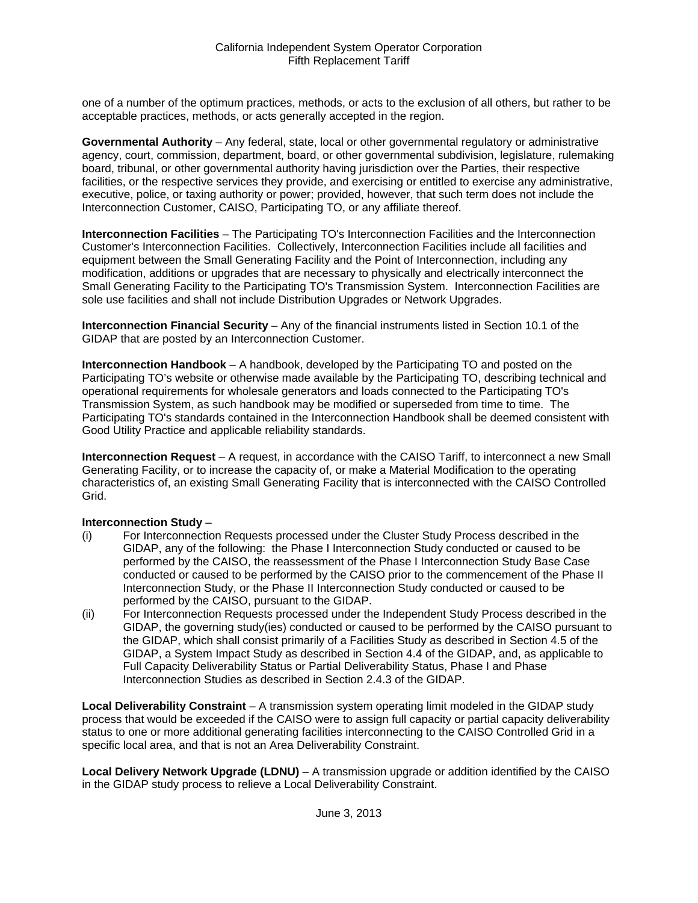one of a number of the optimum practices, methods, or acts to the exclusion of all others, but rather to be acceptable practices, methods, or acts generally accepted in the region.

**Governmental Authority** – Any federal, state, local or other governmental regulatory or administrative agency, court, commission, department, board, or other governmental subdivision, legislature, rulemaking board, tribunal, or other governmental authority having jurisdiction over the Parties, their respective facilities, or the respective services they provide, and exercising or entitled to exercise any administrative, executive, police, or taxing authority or power; provided, however, that such term does not include the Interconnection Customer, CAISO, Participating TO, or any affiliate thereof.

**Interconnection Facilities** – The Participating TO's Interconnection Facilities and the Interconnection Customer's Interconnection Facilities. Collectively, Interconnection Facilities include all facilities and equipment between the Small Generating Facility and the Point of Interconnection, including any modification, additions or upgrades that are necessary to physically and electrically interconnect the Small Generating Facility to the Participating TO's Transmission System. Interconnection Facilities are sole use facilities and shall not include Distribution Upgrades or Network Upgrades.

**Interconnection Financial Security** – Any of the financial instruments listed in Section 10.1 of the GIDAP that are posted by an Interconnection Customer.

**Interconnection Handbook** – A handbook, developed by the Participating TO and posted on the Participating TO's website or otherwise made available by the Participating TO, describing technical and operational requirements for wholesale generators and loads connected to the Participating TO's Transmission System, as such handbook may be modified or superseded from time to time. The Participating TO's standards contained in the Interconnection Handbook shall be deemed consistent with Good Utility Practice and applicable reliability standards.

**Interconnection Request** – A request, in accordance with the CAISO Tariff, to interconnect a new Small Generating Facility, or to increase the capacity of, or make a Material Modification to the operating characteristics of, an existing Small Generating Facility that is interconnected with the CAISO Controlled Grid.

#### **Interconnection Study** –

- (i) For Interconnection Requests processed under the Cluster Study Process described in the GIDAP, any of the following: the Phase I Interconnection Study conducted or caused to be performed by the CAISO, the reassessment of the Phase I Interconnection Study Base Case conducted or caused to be performed by the CAISO prior to the commencement of the Phase II Interconnection Study, or the Phase II Interconnection Study conducted or caused to be performed by the CAISO, pursuant to the GIDAP.
- (ii) For Interconnection Requests processed under the Independent Study Process described in the GIDAP, the governing study(ies) conducted or caused to be performed by the CAISO pursuant to the GIDAP, which shall consist primarily of a Facilities Study as described in Section 4.5 of the GIDAP, a System Impact Study as described in Section 4.4 of the GIDAP, and, as applicable to Full Capacity Deliverability Status or Partial Deliverability Status, Phase I and Phase Interconnection Studies as described in Section 2.4.3 of the GIDAP.

**Local Deliverability Constraint** – A transmission system operating limit modeled in the GIDAP study process that would be exceeded if the CAISO were to assign full capacity or partial capacity deliverability status to one or more additional generating facilities interconnecting to the CAISO Controlled Grid in a specific local area, and that is not an Area Deliverability Constraint.

**Local Delivery Network Upgrade (LDNU)** – A transmission upgrade or addition identified by the CAISO in the GIDAP study process to relieve a Local Deliverability Constraint.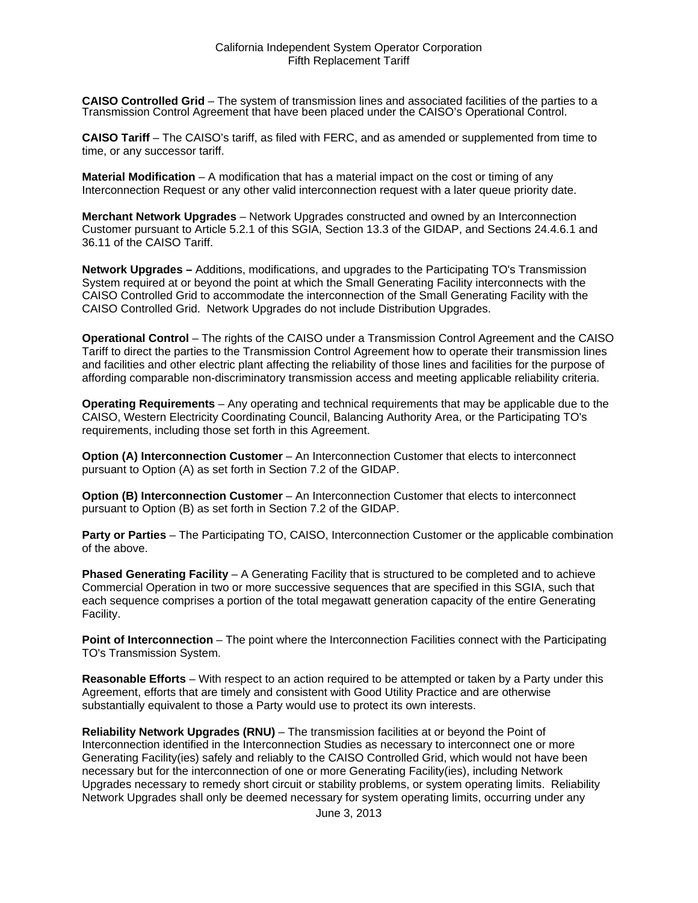**CAISO Controlled Grid** – The system of transmission lines and associated facilities of the parties to a Transmission Control Agreement that have been placed under the CAISO's Operational Control.

**CAISO Tariff** – The CAISO's tariff, as filed with FERC, and as amended or supplemented from time to time, or any successor tariff.

**Material Modification** – A modification that has a material impact on the cost or timing of any Interconnection Request or any other valid interconnection request with a later queue priority date.

**Merchant Network Upgrades** – Network Upgrades constructed and owned by an Interconnection Customer pursuant to Article 5.2.1 of this SGIA, Section 13.3 of the GIDAP, and Sections 24.4.6.1 and 36.11 of the CAISO Tariff.

**Network Upgrades –** Additions, modifications, and upgrades to the Participating TO's Transmission System required at or beyond the point at which the Small Generating Facility interconnects with the CAISO Controlled Grid to accommodate the interconnection of the Small Generating Facility with the CAISO Controlled Grid. Network Upgrades do not include Distribution Upgrades.

**Operational Control** – The rights of the CAISO under a Transmission Control Agreement and the CAISO Tariff to direct the parties to the Transmission Control Agreement how to operate their transmission lines and facilities and other electric plant affecting the reliability of those lines and facilities for the purpose of affording comparable non-discriminatory transmission access and meeting applicable reliability criteria.

**Operating Requirements** – Any operating and technical requirements that may be applicable due to the CAISO, Western Electricity Coordinating Council, Balancing Authority Area, or the Participating TO's requirements, including those set forth in this Agreement.

**Option (A) Interconnection Customer** – An Interconnection Customer that elects to interconnect pursuant to Option (A) as set forth in Section 7.2 of the GIDAP.

**Option (B) Interconnection Customer** – An Interconnection Customer that elects to interconnect pursuant to Option (B) as set forth in Section 7.2 of the GIDAP.

**Party or Parties** – The Participating TO, CAISO, Interconnection Customer or the applicable combination of the above.

**Phased Generating Facility** – A Generating Facility that is structured to be completed and to achieve Commercial Operation in two or more successive sequences that are specified in this SGIA, such that each sequence comprises a portion of the total megawatt generation capacity of the entire Generating Facility.

**Point of Interconnection** – The point where the Interconnection Facilities connect with the Participating TO's Transmission System.

**Reasonable Efforts** – With respect to an action required to be attempted or taken by a Party under this Agreement, efforts that are timely and consistent with Good Utility Practice and are otherwise substantially equivalent to those a Party would use to protect its own interests.

**Reliability Network Upgrades (RNU)** – The transmission facilities at or beyond the Point of Interconnection identified in the Interconnection Studies as necessary to interconnect one or more Generating Facility(ies) safely and reliably to the CAISO Controlled Grid, which would not have been necessary but for the interconnection of one or more Generating Facility(ies), including Network Upgrades necessary to remedy short circuit or stability problems, or system operating limits. Reliability Network Upgrades shall only be deemed necessary for system operating limits, occurring under any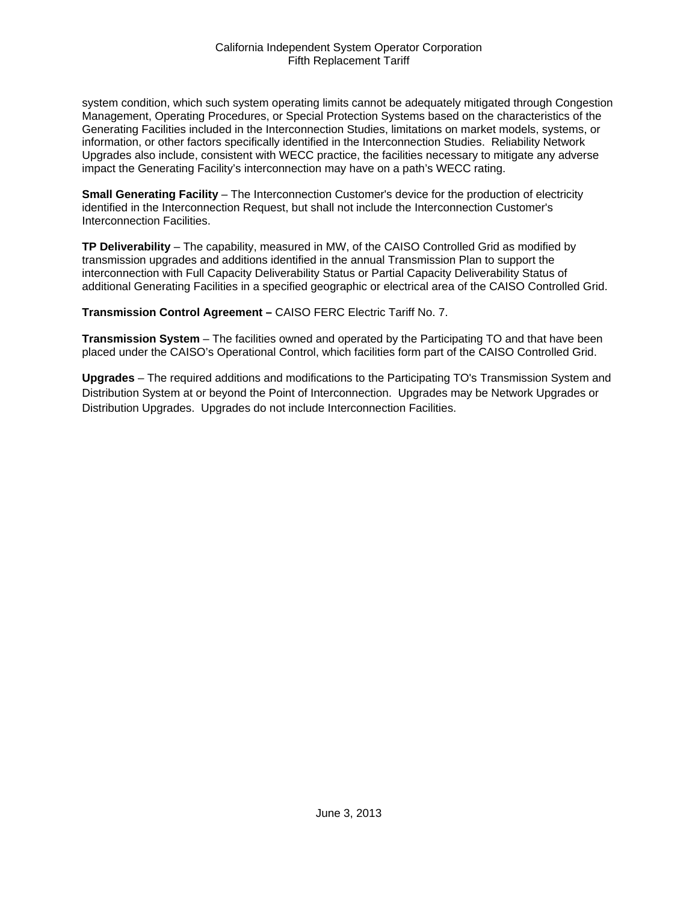system condition, which such system operating limits cannot be adequately mitigated through Congestion Management, Operating Procedures, or Special Protection Systems based on the characteristics of the Generating Facilities included in the Interconnection Studies, limitations on market models, systems, or information, or other factors specifically identified in the Interconnection Studies. Reliability Network Upgrades also include, consistent with WECC practice, the facilities necessary to mitigate any adverse impact the Generating Facility's interconnection may have on a path's WECC rating.

**Small Generating Facility** – The Interconnection Customer's device for the production of electricity identified in the Interconnection Request, but shall not include the Interconnection Customer's Interconnection Facilities.

**TP Deliverability** – The capability, measured in MW, of the CAISO Controlled Grid as modified by transmission upgrades and additions identified in the annual Transmission Plan to support the interconnection with Full Capacity Deliverability Status or Partial Capacity Deliverability Status of additional Generating Facilities in a specified geographic or electrical area of the CAISO Controlled Grid.

**Transmission Control Agreement –** CAISO FERC Electric Tariff No. 7.

**Transmission System** – The facilities owned and operated by the Participating TO and that have been placed under the CAISO's Operational Control, which facilities form part of the CAISO Controlled Grid.

**Upgrades** – The required additions and modifications to the Participating TO's Transmission System and Distribution System at or beyond the Point of Interconnection. Upgrades may be Network Upgrades or Distribution Upgrades. Upgrades do not include Interconnection Facilities.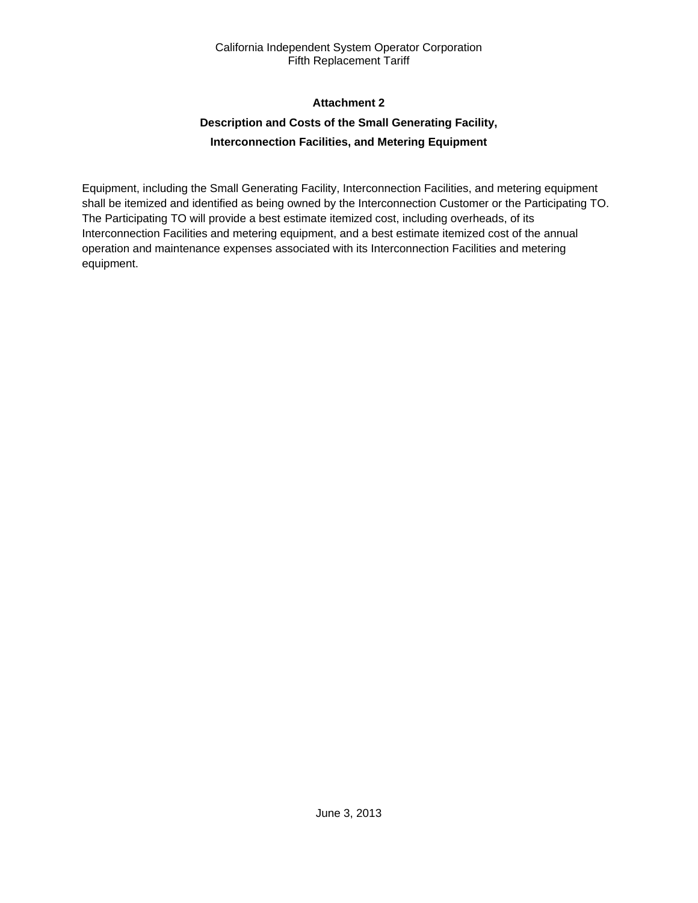# **Attachment 2**

# **Description and Costs of the Small Generating Facility, Interconnection Facilities, and Metering Equipment**

Equipment, including the Small Generating Facility, Interconnection Facilities, and metering equipment shall be itemized and identified as being owned by the Interconnection Customer or the Participating TO. The Participating TO will provide a best estimate itemized cost, including overheads, of its Interconnection Facilities and metering equipment, and a best estimate itemized cost of the annual operation and maintenance expenses associated with its Interconnection Facilities and metering equipment.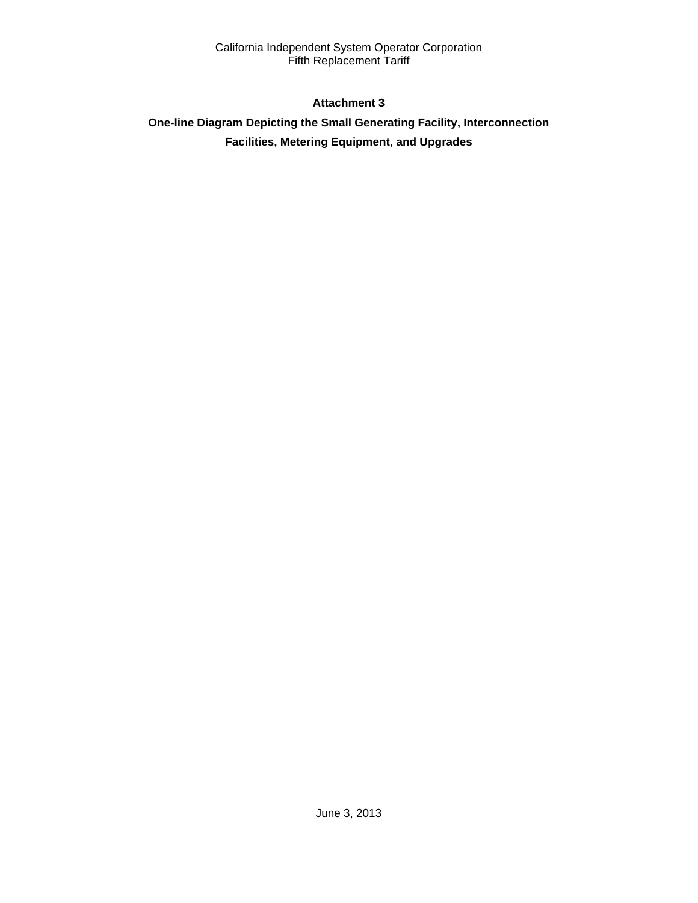# **Attachment 3**

# **One-line Diagram Depicting the Small Generating Facility, Interconnection Facilities, Metering Equipment, and Upgrades**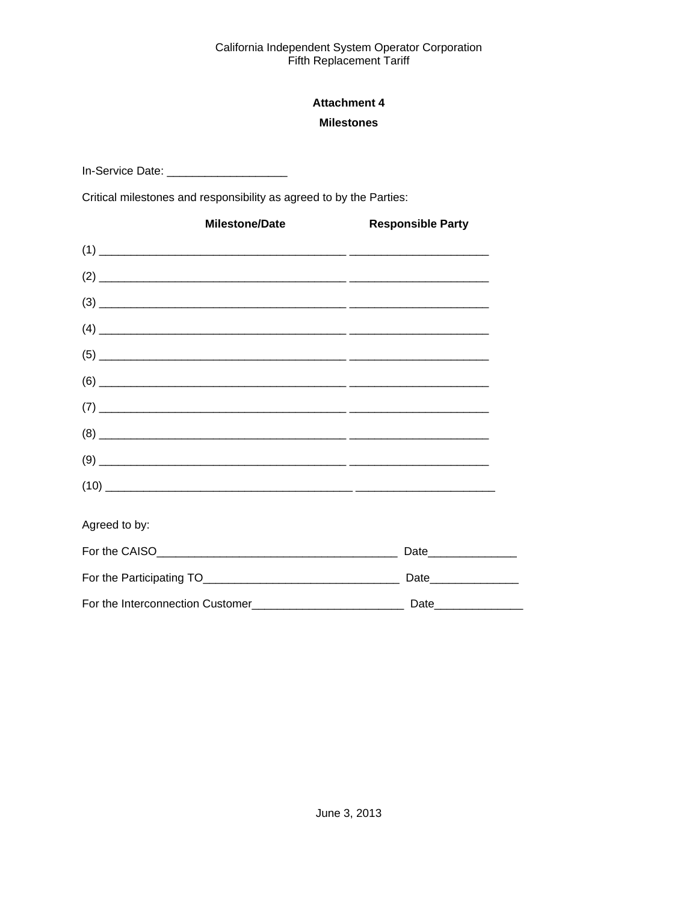# **Attachment 4 Milestones**

In-Service Date: \_\_\_\_\_\_\_\_\_\_\_\_\_\_\_\_\_\_\_\_\_\_

Critical milestones and responsibility as agreed to by the Parties:

| <b>Milestone/Date</b>                                                                                                                                                                                                                                                                                                                                      | <b>Responsible Party</b> |
|------------------------------------------------------------------------------------------------------------------------------------------------------------------------------------------------------------------------------------------------------------------------------------------------------------------------------------------------------------|--------------------------|
|                                                                                                                                                                                                                                                                                                                                                            |                          |
|                                                                                                                                                                                                                                                                                                                                                            |                          |
|                                                                                                                                                                                                                                                                                                                                                            |                          |
|                                                                                                                                                                                                                                                                                                                                                            |                          |
|                                                                                                                                                                                                                                                                                                                                                            |                          |
|                                                                                                                                                                                                                                                                                                                                                            |                          |
|                                                                                                                                                                                                                                                                                                                                                            |                          |
| $(8) \begin{tabular}{ l l l l } \hline \rule{0.2cm}{.01cm} \rule{0.2cm}{.01cm} \rule{0.2cm}{.01cm} \rule{0.2cm}{.01cm} \rule{0.2cm}{.01cm} \rule{0.2cm}{.01cm} \rule{0.2cm}{.01cm} \rule{0.2cm}{.01cm} \rule{0.2cm}{.01cm} \rule{0.2cm}{.01cm} \rule{0.2cm}{.01cm} \rule{0.2cm}{.01cm} \rule{0.2cm}{.01cm} \rule{0.2cm}{.01cm} \rule{0.2cm}{.01cm} \rule{$ |                          |
|                                                                                                                                                                                                                                                                                                                                                            |                          |
| $(10) \qquad \qquad \overbrace{\qquad \qquad }$                                                                                                                                                                                                                                                                                                            |                          |
| Agreed to by:                                                                                                                                                                                                                                                                                                                                              |                          |
|                                                                                                                                                                                                                                                                                                                                                            |                          |
|                                                                                                                                                                                                                                                                                                                                                            |                          |
|                                                                                                                                                                                                                                                                                                                                                            |                          |

 $\overline{\phantom{0}}$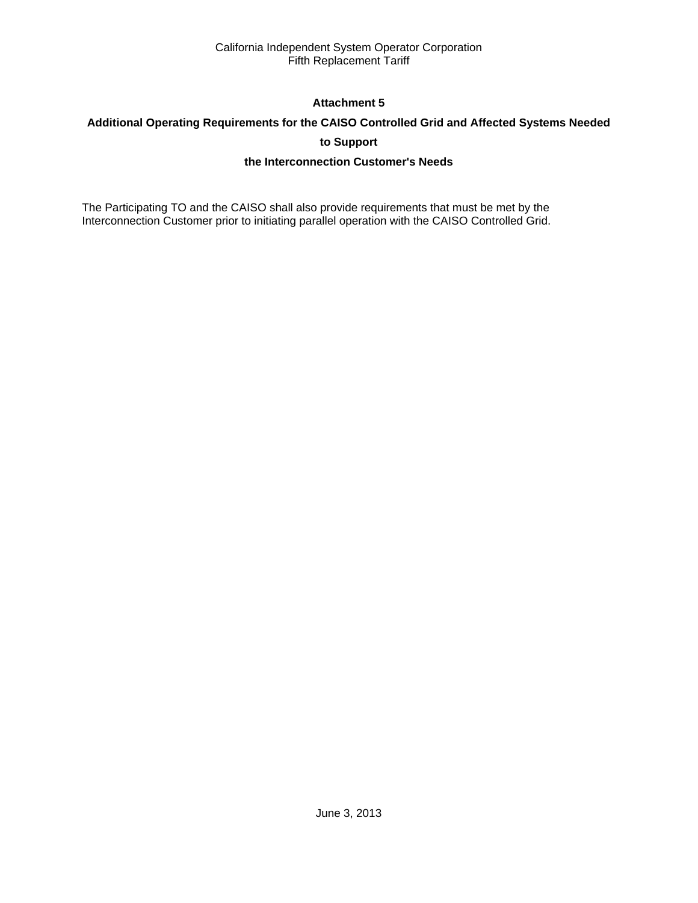# **Attachment 5**

# **Additional Operating Requirements for the CAISO Controlled Grid and Affected Systems Needed**

# **to Support**

# **the Interconnection Customer's Needs**

The Participating TO and the CAISO shall also provide requirements that must be met by the Interconnection Customer prior to initiating parallel operation with the CAISO Controlled Grid.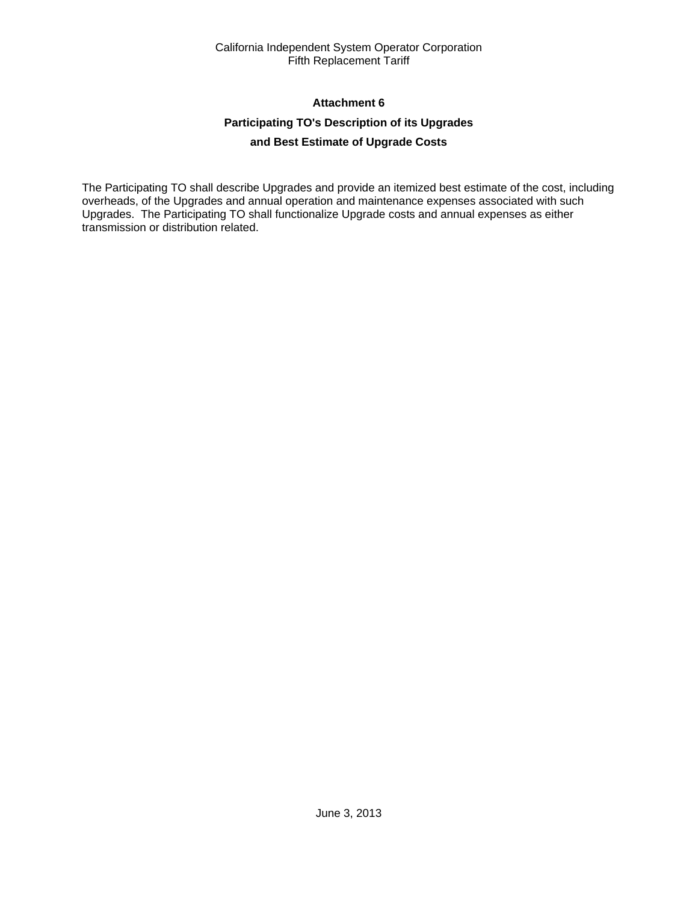# **Attachment 6**

# **Participating TO's Description of its Upgrades**

# **and Best Estimate of Upgrade Costs**

The Participating TO shall describe Upgrades and provide an itemized best estimate of the cost, including overheads, of the Upgrades and annual operation and maintenance expenses associated with such Upgrades. The Participating TO shall functionalize Upgrade costs and annual expenses as either transmission or distribution related.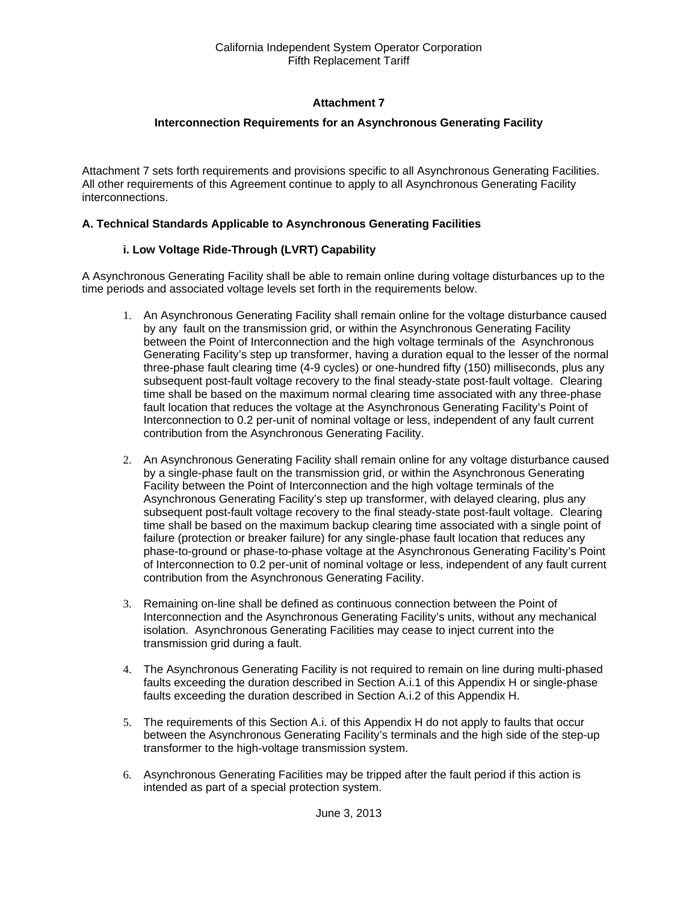# **Attachment 7**

# **Interconnection Requirements for an Asynchronous Generating Facility**

Attachment 7 sets forth requirements and provisions specific to all Asynchronous Generating Facilities. All other requirements of this Agreement continue to apply to all Asynchronous Generating Facility interconnections.

### **A. Technical Standards Applicable to Asynchronous Generating Facilities**

# **i. Low Voltage Ride-Through (LVRT) Capability**

A Asynchronous Generating Facility shall be able to remain online during voltage disturbances up to the time periods and associated voltage levels set forth in the requirements below.

- 1. An Asynchronous Generating Facility shall remain online for the voltage disturbance caused by any fault on the transmission grid, or within the Asynchronous Generating Facility between the Point of Interconnection and the high voltage terminals of the Asynchronous Generating Facility's step up transformer, having a duration equal to the lesser of the normal three-phase fault clearing time (4-9 cycles) or one-hundred fifty (150) milliseconds, plus any subsequent post-fault voltage recovery to the final steady-state post-fault voltage. Clearing time shall be based on the maximum normal clearing time associated with any three-phase fault location that reduces the voltage at the Asynchronous Generating Facility's Point of Interconnection to 0.2 per-unit of nominal voltage or less, independent of any fault current contribution from the Asynchronous Generating Facility.
- 2. An Asynchronous Generating Facility shall remain online for any voltage disturbance caused by a single-phase fault on the transmission grid, or within the Asynchronous Generating Facility between the Point of Interconnection and the high voltage terminals of the Asynchronous Generating Facility's step up transformer, with delayed clearing, plus any subsequent post-fault voltage recovery to the final steady-state post-fault voltage. Clearing time shall be based on the maximum backup clearing time associated with a single point of failure (protection or breaker failure) for any single-phase fault location that reduces any phase-to-ground or phase-to-phase voltage at the Asynchronous Generating Facility's Point of Interconnection to 0.2 per-unit of nominal voltage or less, independent of any fault current contribution from the Asynchronous Generating Facility.
- 3. Remaining on-line shall be defined as continuous connection between the Point of Interconnection and the Asynchronous Generating Facility's units, without any mechanical isolation. Asynchronous Generating Facilities may cease to inject current into the transmission grid during a fault.
- 4. The Asynchronous Generating Facility is not required to remain on line during multi-phased faults exceeding the duration described in Section A.i.1 of this Appendix H or single-phase faults exceeding the duration described in Section A.i.2 of this Appendix H.
- 5. The requirements of this Section A.i. of this Appendix H do not apply to faults that occur between the Asynchronous Generating Facility's terminals and the high side of the step-up transformer to the high-voltage transmission system.
- 6. Asynchronous Generating Facilities may be tripped after the fault period if this action is intended as part of a special protection system.